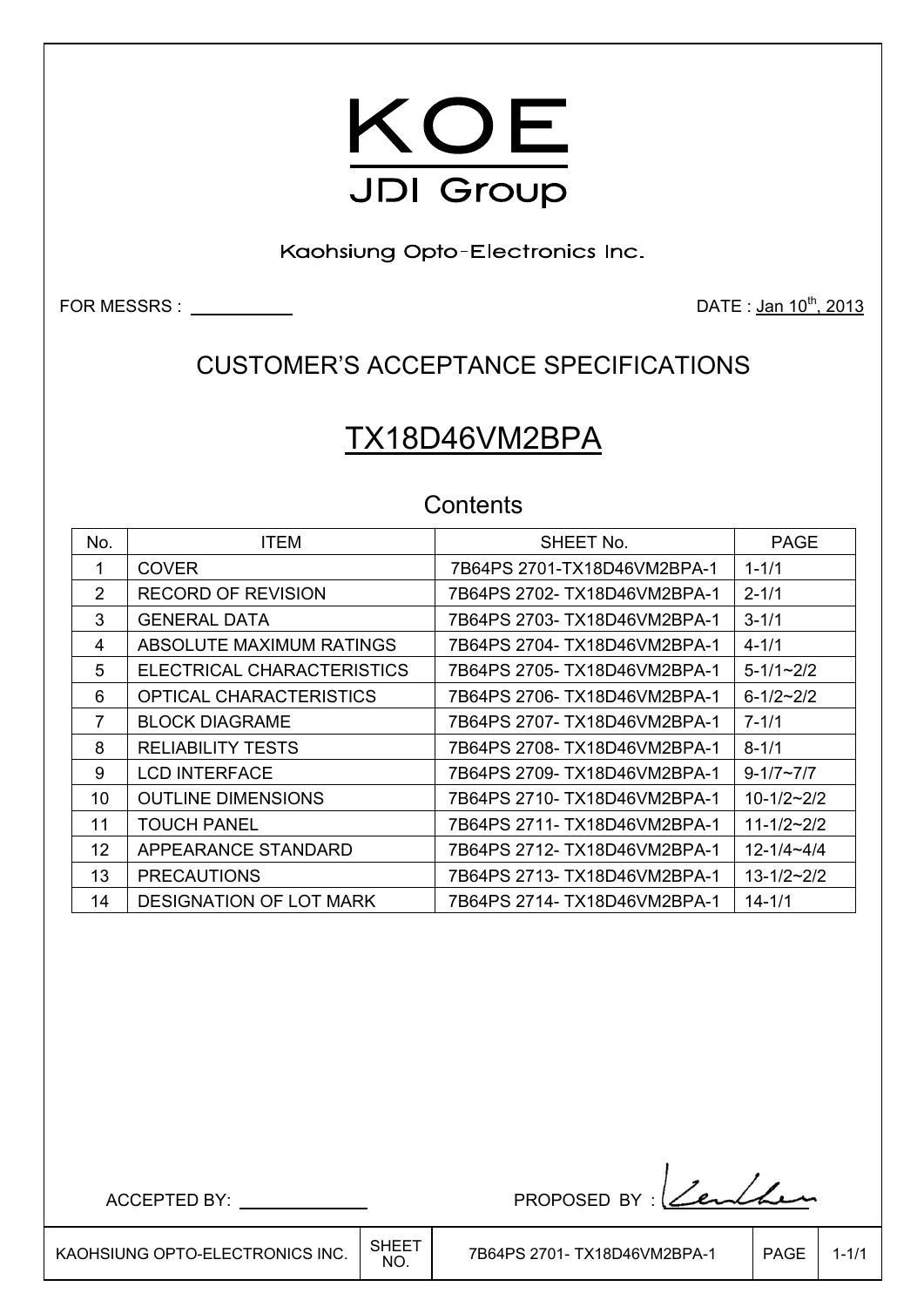

Kaohsiung Opto-Electronics Inc.

FOR MESSRS : DATE : Jan 10th, 2013

## CUSTOMER'S ACCEPTANCE SPECIFICATIONS

# TX18D46VM2BPA

## **Contents**

| No. | <b>ITEM</b>                    | SHEET No.                    | <b>PAGE</b>         |
|-----|--------------------------------|------------------------------|---------------------|
| 1   | <b>COVER</b>                   | 7B64PS 2701-TX18D46VM2BPA-1  | $1 - 1/1$           |
| 2   | RECORD OF REVISION             | 7B64PS 2702- TX18D46VM2BPA-1 | $2 - 1/1$           |
| 3   | <b>GENERAL DATA</b>            | 7B64PS 2703- TX18D46VM2BPA-1 | $3 - 1/1$           |
| 4   | ABSOLUTE MAXIMUM RATINGS       | 7B64PS 2704- TX18D46VM2BPA-1 | $4 - 1/1$           |
| 5   | ELECTRICAL CHARACTERISTICS     | 7B64PS 2705- TX18D46VM2BPA-1 | $5 - 1/1 \sim 2/2$  |
| 6   | OPTICAL CHARACTERISTICS        | 7B64PS 2706- TX18D46VM2BPA-1 | $6 - 1/2 - 2/2$     |
| 7   | <b>BLOCK DIAGRAME</b>          | 7B64PS 2707- TX18D46VM2BPA-1 | $7 - 1/1$           |
| 8   | <b>RELIABILITY TESTS</b>       | 7B64PS 2708- TX18D46VM2BPA-1 | $8 - 1/1$           |
| 9   | <b>LCD INTERFACE</b>           | 7B64PS 2709- TX18D46VM2BPA-1 | $9 - 1/7 - 7/7$     |
| 10  | <b>OUTLINE DIMENSIONS</b>      | 7B64PS 2710- TX18D46VM2BPA-1 | $10 - 1/2 - 2/2$    |
| 11  | <b>TOUCH PANEL</b>             | 7B64PS 2711- TX18D46VM2BPA-1 | $11 - 1/2 - 2/2$    |
| 12  | APPEARANCE STANDARD            | 7B64PS 2712- TX18D46VM2BPA-1 | $12 - 1/4 - 4/4$    |
| 13  | <b>PRECAUTIONS</b>             | 7B64PS 2713- TX18D46VM2BPA-1 | $13 - 1/2 \sim 2/2$ |
| 14  | <b>DESIGNATION OF LOT MARK</b> | 7B64PS 2714- TX18D46VM2BPA-1 | $14 - 1/1$          |

ACCEPTED BY: PROPOSED BY :

├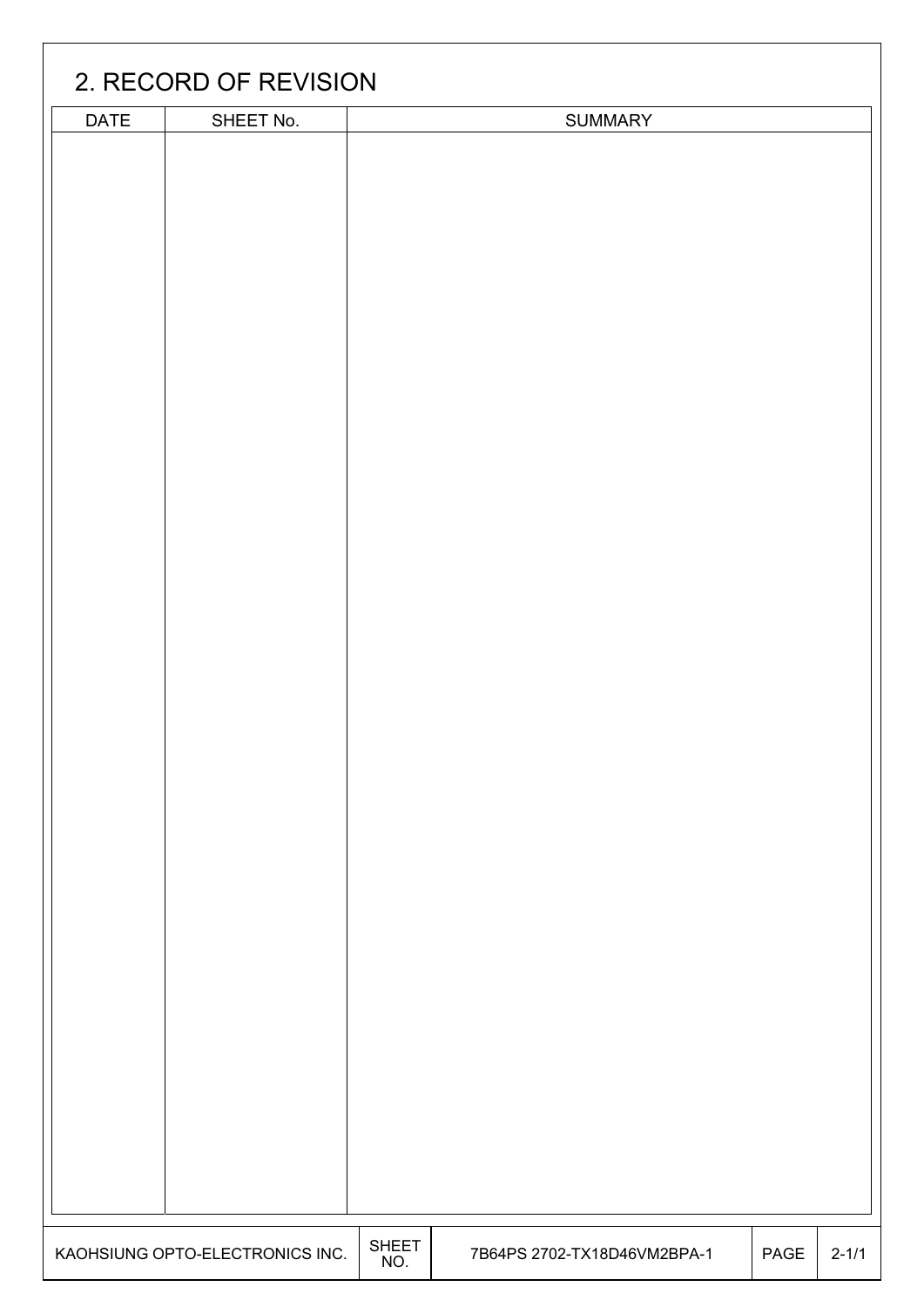|             | 2. RECORD OF REVISION           |                     |                             |      |           |
|-------------|---------------------------------|---------------------|-----------------------------|------|-----------|
| <b>DATE</b> | SHEET No.                       |                     | SUMMARY                     |      |           |
|             |                                 |                     |                             |      |           |
|             |                                 |                     |                             |      |           |
|             |                                 |                     |                             |      |           |
|             |                                 |                     |                             |      |           |
|             |                                 |                     |                             |      |           |
|             |                                 |                     |                             |      |           |
|             |                                 |                     |                             |      |           |
|             |                                 |                     |                             |      |           |
|             |                                 |                     |                             |      |           |
|             |                                 |                     |                             |      |           |
|             |                                 |                     |                             |      |           |
|             |                                 |                     |                             |      |           |
|             |                                 |                     |                             |      |           |
|             |                                 |                     |                             |      |           |
|             |                                 |                     |                             |      |           |
|             |                                 |                     |                             |      |           |
|             |                                 |                     |                             |      |           |
|             |                                 |                     |                             |      |           |
|             |                                 |                     |                             |      |           |
|             |                                 |                     |                             |      |           |
|             |                                 |                     |                             |      |           |
|             |                                 |                     |                             |      |           |
|             |                                 |                     |                             |      |           |
|             |                                 |                     |                             |      |           |
|             |                                 |                     |                             |      |           |
|             |                                 |                     |                             |      |           |
|             |                                 |                     |                             |      |           |
|             |                                 |                     |                             |      |           |
|             |                                 |                     |                             |      |           |
|             |                                 |                     |                             |      |           |
|             |                                 |                     |                             |      |           |
|             |                                 |                     |                             |      |           |
|             |                                 |                     |                             |      |           |
|             |                                 |                     |                             |      |           |
|             |                                 |                     |                             |      |           |
|             |                                 |                     |                             |      |           |
|             |                                 |                     |                             |      |           |
|             |                                 |                     |                             |      |           |
|             |                                 |                     |                             |      |           |
|             | KAOHSIUNG OPTO-ELECTRONICS INC. | <b>SHEET</b><br>NO. | 7B64PS 2702-TX18D46VM2BPA-1 | PAGE | $2 - 1/1$ |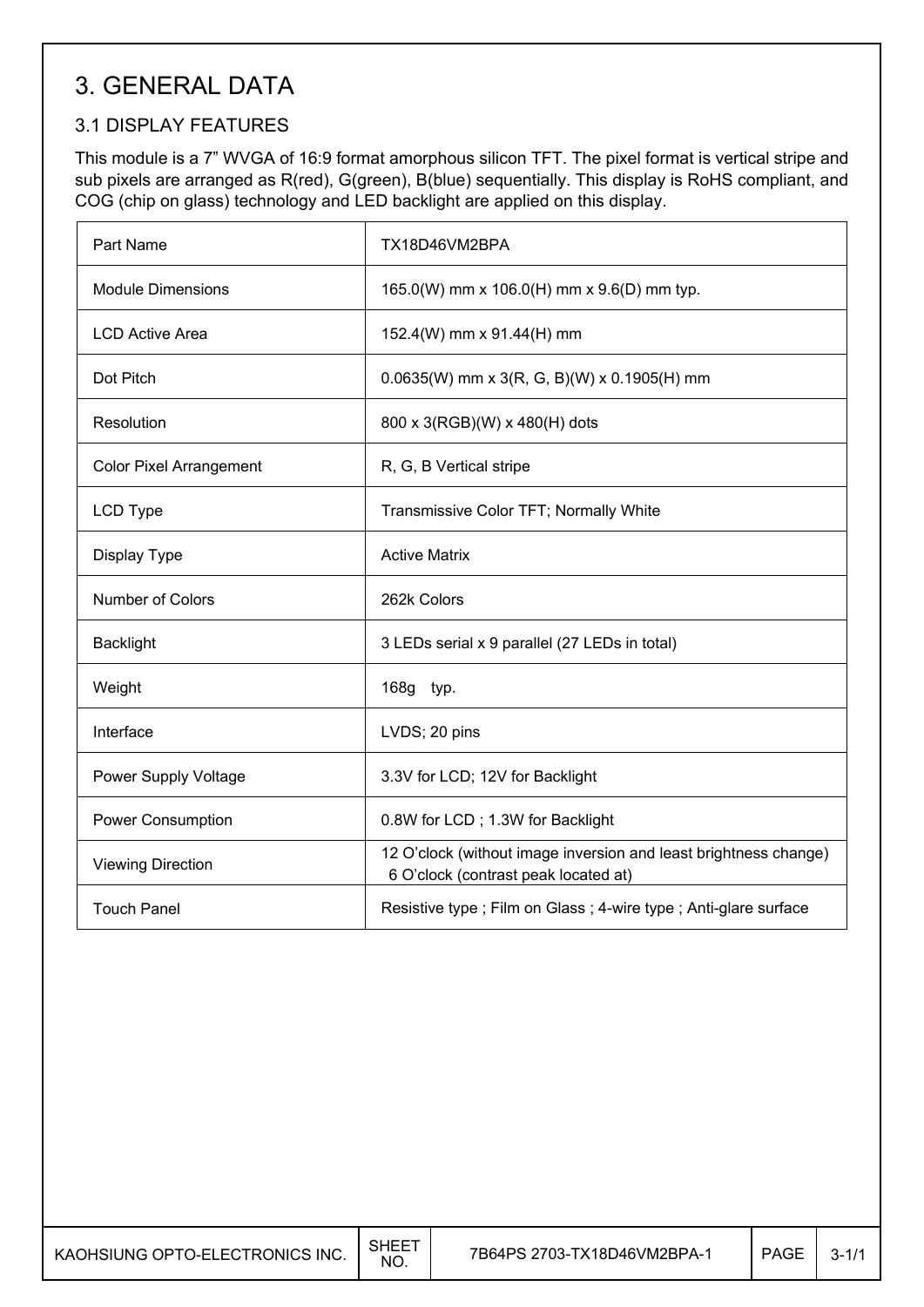# 3. GENERAL DATA

## 3.1 DISPLAY FEATURES

This module is a 7" WVGA of 16:9 format amorphous silicon TFT. The pixel format is vertical stripe and sub pixels are arranged as R(red), G(green), B(blue) sequentially. This display is RoHS compliant, and COG (chip on glass) technology and LED backlight are applied on this display.

| Part Name                      | TX18D46VM2BPA                                                                                            |
|--------------------------------|----------------------------------------------------------------------------------------------------------|
| <b>Module Dimensions</b>       | 165.0(W) mm x 106.0(H) mm x 9.6(D) mm typ.                                                               |
| <b>LCD Active Area</b>         | 152.4(W) mm x 91.44(H) mm                                                                                |
| Dot Pitch                      | $0.0635(W)$ mm x 3(R, G, B)(W) x 0.1905(H) mm                                                            |
| Resolution                     | 800 x 3(RGB)(W) x 480(H) dots                                                                            |
| <b>Color Pixel Arrangement</b> | R, G, B Vertical stripe                                                                                  |
| LCD Type                       | Transmissive Color TFT; Normally White                                                                   |
| Display Type                   | <b>Active Matrix</b>                                                                                     |
| Number of Colors               | 262k Colors                                                                                              |
| <b>Backlight</b>               | 3 LEDs serial x 9 parallel (27 LEDs in total)                                                            |
| Weight                         | 168g typ.                                                                                                |
| Interface                      | LVDS; 20 pins                                                                                            |
| Power Supply Voltage           | 3.3V for LCD; 12V for Backlight                                                                          |
| <b>Power Consumption</b>       | 0.8W for LCD; 1.3W for Backlight                                                                         |
| <b>Viewing Direction</b>       | 12 O'clock (without image inversion and least brightness change)<br>6 O'clock (contrast peak located at) |
| <b>Touch Panel</b>             | Resistive type ; Film on Glass ; 4-wire type ; Anti-glare surface                                        |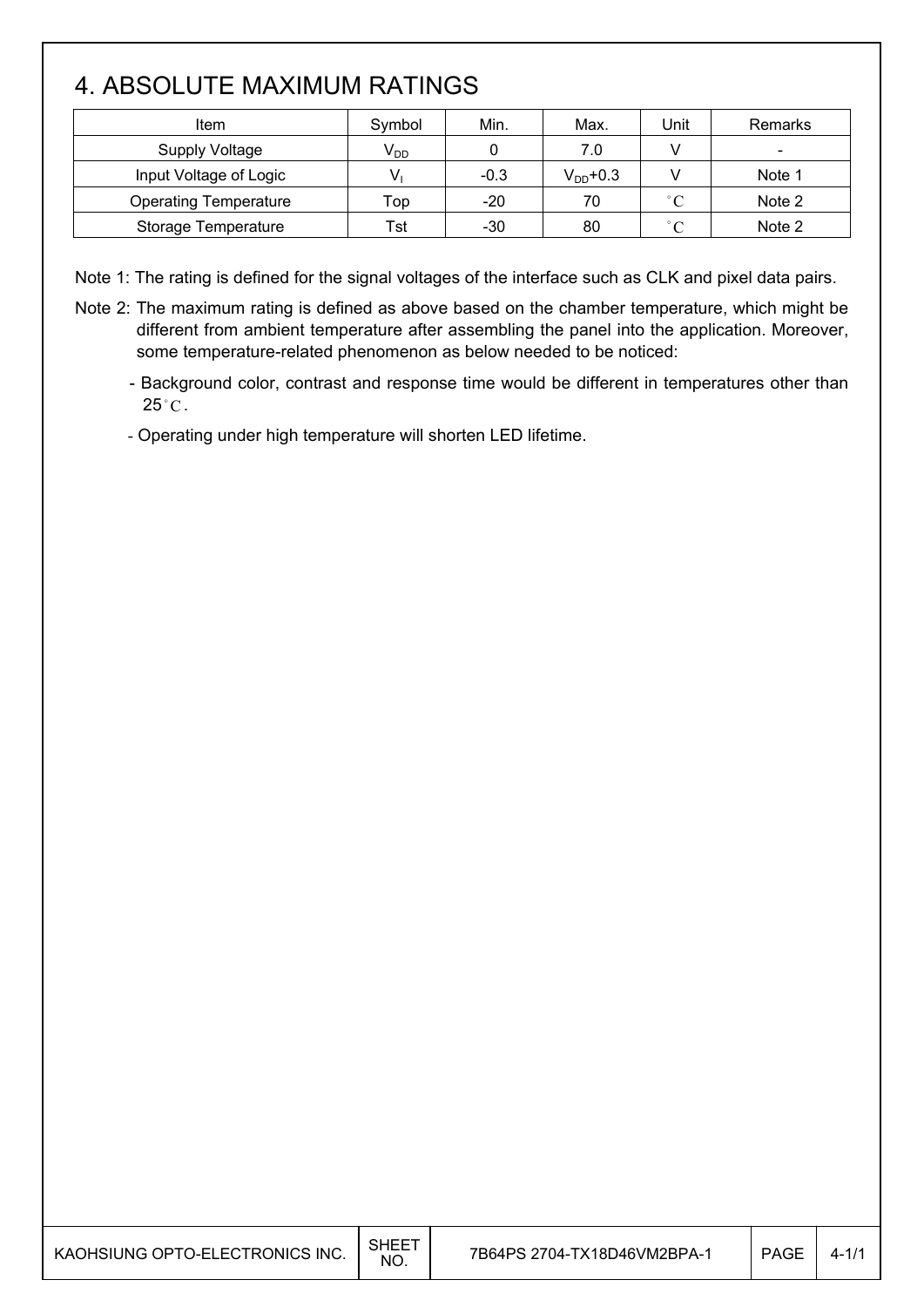# 4. ABSOLUTE MAXIMUM RATINGS

| Item                         | Symbol   | Min.   | Max.          | Unit         | Remarks                  |
|------------------------------|----------|--------|---------------|--------------|--------------------------|
| Supply Voltage               | $V_{DD}$ |        | 7.0           |              | $\overline{\phantom{0}}$ |
| Input Voltage of Logic       |          | $-0.3$ | $V_{DD}$ +0.3 |              | Note 1                   |
| <b>Operating Temperature</b> | Top      | $-20$  | 70            | $^{\circ}$ C | Note 2                   |
| Storage Temperature          | Tst      | $-30$  | 80            | $\degree$ C  | Note 2                   |

Note 1: The rating is defined for the signal voltages of the interface such as CLK and pixel data pairs.

Note 2: The maximum rating is defined as above based on the chamber temperature, which might be different from ambient temperature after assembling the panel into the application. Moreover, some temperature-related phenomenon as below needed to be noticed:

- Background color, contrast and response time would be different in temperatures other than  $25^{\circ}$ C.

- Operating under high temperature will shorten LED lifetime.

| NO. | KAOHSIUNG OPTO-ELECTRONICS INC. | SHEET | 7B64PS 2704-TX18D46VM2BPA-1 | <b>PAGE</b> | 4- |
|-----|---------------------------------|-------|-----------------------------|-------------|----|
|-----|---------------------------------|-------|-----------------------------|-------------|----|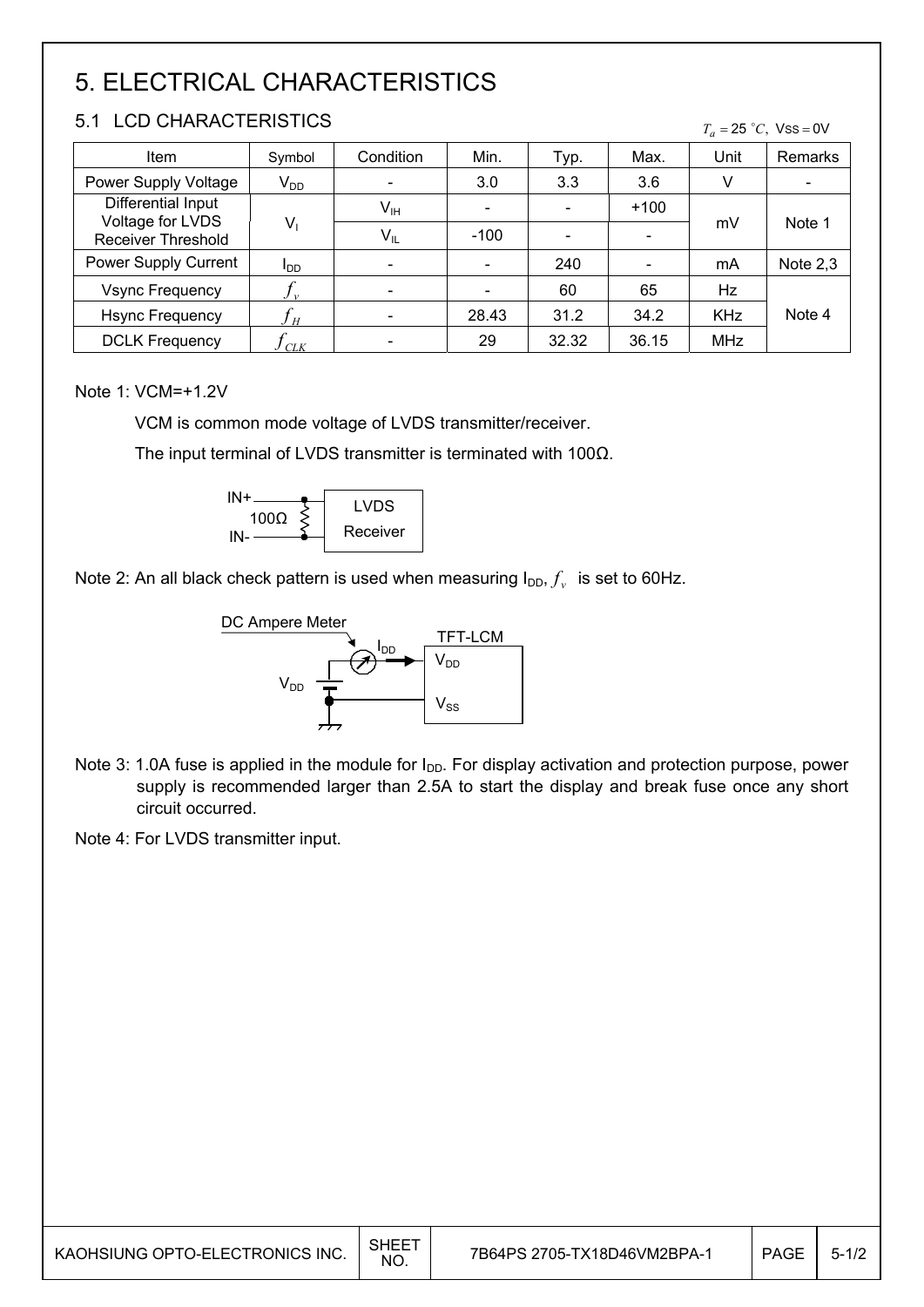# 5. ELECTRICAL CHARACTERISTICS

## 5.1 LCD CHARACTERISTICS

| 5.1 LUD UHARAUTERISTIUS<br>$T_a = 25 °C$ , Vss = 0V |                             |              |        |       |        |            |            |
|-----------------------------------------------------|-----------------------------|--------------|--------|-------|--------|------------|------------|
| Item                                                | Symbol                      | Condition    | Min.   | Typ.  | Max.   | Unit       | Remarks    |
| Power Supply Voltage                                | $V_{DD}$                    |              | 3.0    | 3.3   | 3.6    | ٧          |            |
| Differential Input                                  |                             | $V_{\sf IH}$ | -      |       | $+100$ |            |            |
| <b>Receiver Threshold</b>                           | Voltage for LVDS<br>$V_{1}$ |              | $-100$ |       |        | mV         | Note 1     |
| Power Supply Current                                | l <sub>DD</sub>             |              |        | 240   |        | mA         | Note $2,3$ |
| <b>Vsync Frequency</b>                              |                             |              |        | 60    | 65     | Hz         |            |
| <b>Hsync Frequency</b>                              | Jн                          |              | 28.43  | 31.2  | 34.2   | <b>KHz</b> | Note 4     |
| <b>DCLK Frequency</b>                               | C L K                       |              | 29     | 32.32 | 36.15  | MHz        |            |

#### Note 1: VCM=+1.2V

VCM is common mode voltage of LVDS transmitter/receiver.

The input terminal of LVDS transmitter is terminated with 100 $\Omega$ .



Note 2: An all black check pattern is used when measuring  $I_{DD}$ ,  $f_v$  is set to 60Hz.



- Note 3: 1.0A fuse is applied in the module for  $I_{DD}$ . For display activation and protection purpose, power supply is recommended larger than 2.5A to start the display and break fuse once any short circuit occurred.
- Note 4: For LVDS transmitter input.

| KAOHSIUNG OPTO-ELECTRONICS INC. | SHEET<br>NO. | 7B64PS 2705-TX18D46VM2BPA-1 | <b>PAGE</b> | $5 - 1/2$ |
|---------------------------------|--------------|-----------------------------|-------------|-----------|
|                                 |              |                             |             |           |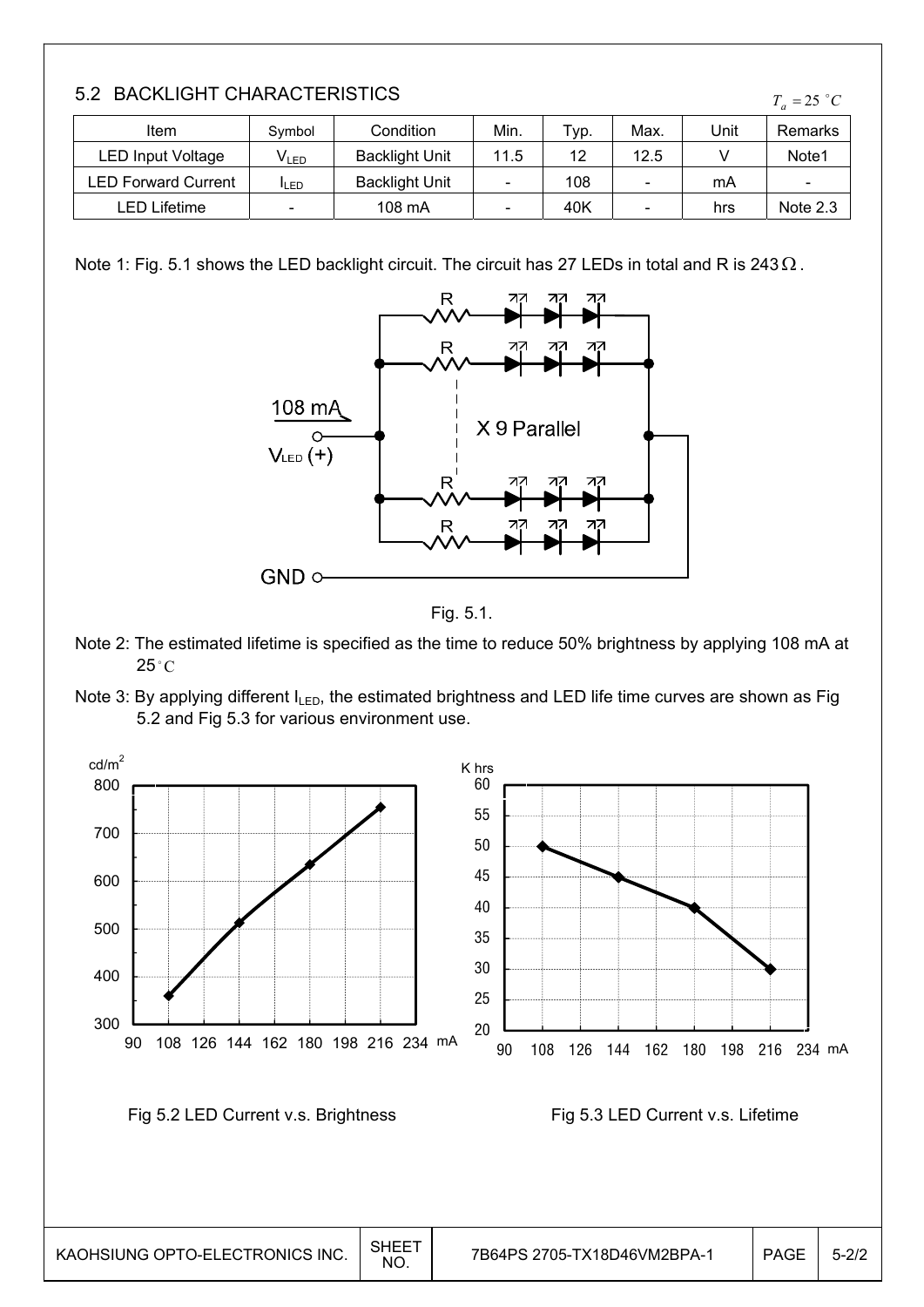| UNG OPTO-ELECTRONICS INC. | <b>SHEET</b><br>NO. | 7B64PS 2705-TX18D46VM2BPA-1 | <b>PAG</b> |
|---------------------------|---------------------|-----------------------------|------------|

### 5.2 BACKLIGHT CHARACTERISTICS

| 3.2 BAUNLIGHT UNARAUTERISTIUS<br>$T_a = 25$ °C |                             |                       |      |      |      |      |                          |  |
|------------------------------------------------|-----------------------------|-----------------------|------|------|------|------|--------------------------|--|
| Item                                           | Symbol                      | Condition             | Min. | Typ. | Max. | Unit | Remarks                  |  |
| <b>LED Input Voltage</b>                       | $\mathsf{V}_{\mathsf{LED}}$ | <b>Backlight Unit</b> | 11.5 | 12   | 12.5 |      | Note <sub>1</sub>        |  |
| LED Forward Current                            | <b>I</b> LED                | <b>Backlight Unit</b> |      | 108  |      | mA   | $\overline{\phantom{0}}$ |  |
| LED Lifetime                                   | -                           | 108 mA                |      | 40K  | -    | hrs  | Note 2.3                 |  |

Note 1: Fig. 5.1 shows the LED backlight circuit. The circuit has 27 LEDs in total and R is 243 $\Omega$ .





- Note 2: The estimated lifetime is specified as the time to reduce 50% brightness by applying 108 mA at  $25^{\circ}$ C
- Note 3: By applying different  $I_{LED}$ , the estimated brightness and LED life time curves are shown as Fig 5.2 and Fig 5.3 for various environment use.

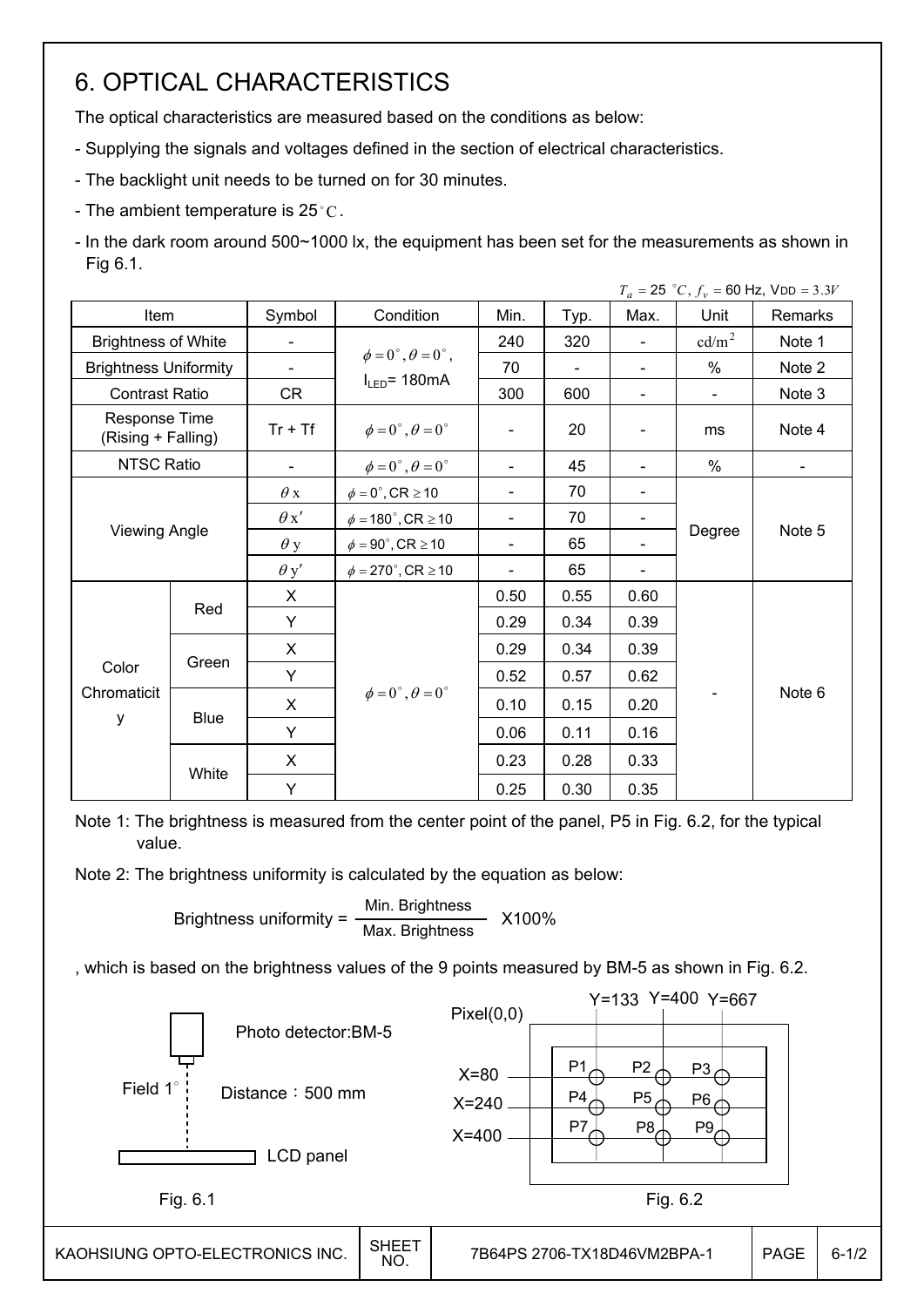# 6. OPTICAL CHARACTERISTICS

The optical characteristics are measured based on the conditions as below:

- Supplying the signals and voltages defined in the section of electrical characteristics.
- The backlight unit needs to be turned on for 30 minutes.
- The ambient temperature is 25 $^{\circ}$ C.

┡

- In the dark room around 500~1000 lx, the equipment has been set for the measurements as shown in Fig 6.1.

|                                     |       |                |                                         |                              |      |                          |                   | $T_a = 25$ °C, $f_v = 60$ Hz, VDD = 3.3V |
|-------------------------------------|-------|----------------|-----------------------------------------|------------------------------|------|--------------------------|-------------------|------------------------------------------|
| Item                                |       | Symbol         | Condition                               | Min.                         | Typ. | Max.                     | Unit              | <b>Remarks</b>                           |
| <b>Brightness of White</b>          |       |                |                                         | 240                          | 320  | $\blacksquare$           | cd/m <sup>2</sup> | Note 1                                   |
| <b>Brightness Uniformity</b>        |       | $\blacksquare$ | $\phi = 0^{\circ}, \theta = 0^{\circ},$ | 70                           | ÷,   | $\blacksquare$           | $\%$              | Note 2                                   |
| <b>Contrast Ratio</b>               |       | <b>CR</b>      | $I_{LED}$ = 180mA                       | 300                          | 600  | $\overline{\phantom{a}}$ | $\blacksquare$    | Note 3                                   |
| Response Time<br>(Rising + Falling) |       | $Tr + Tf$      | $\phi = 0^{\circ}, \theta = 0^{\circ}$  | $\qquad \qquad \blacksquare$ | 20   | $\overline{\phantom{0}}$ | ms                | Note 4                                   |
| <b>NTSC Ratio</b>                   |       | $\blacksquare$ | $\phi = 0^\circ$ , $\theta = 0^\circ$   | $\blacksquare$               | 45   | $\blacksquare$           | $\%$              |                                          |
| <b>Viewing Angle</b>                |       | $\theta$ x     | $\phi = 0^\circ$ , CR $\geq 10$         |                              | 70   | $\overline{a}$           |                   |                                          |
|                                     |       | $\theta x'$    | $\phi = 180^\circ$ , CR $\geq 10$       | $\overline{\phantom{a}}$     | 70   | $\overline{\phantom{a}}$ | Degree            | Note 5                                   |
|                                     |       | $\theta$ y     | $\phi = 90^{\circ}$ , CR $\geq 10$      | $\overline{\phantom{a}}$     | 65   |                          |                   |                                          |
|                                     |       | $\theta$ y'    | $\phi = 270^\circ$ , CR $\geq 10$       | -                            | 65   |                          |                   |                                          |
|                                     |       | X              |                                         | 0.50                         | 0.55 | 0.60                     |                   |                                          |
|                                     | Red   | Y              |                                         | 0.29                         | 0.34 | 0.39                     |                   |                                          |
|                                     |       | X              |                                         | 0.29                         | 0.34 | 0.39                     |                   |                                          |
| Color                               | Green | Y              |                                         | 0.52                         | 0.57 | 0.62                     |                   |                                          |
| Chromaticit                         |       | X              | $\phi = 0^{\circ}, \theta = 0^{\circ}$  | 0.10                         | 0.15 | 0.20                     |                   | Note 6                                   |
| у                                   | Blue  | Y              |                                         | 0.06                         | 0.11 | 0.16                     |                   |                                          |
|                                     |       | X              |                                         | 0.23                         | 0.28 | 0.33                     |                   |                                          |
|                                     | White | Y              |                                         | 0.25                         | 0.30 | 0.35                     |                   |                                          |

Note 1: The brightness is measured from the center point of the panel, P5 in Fig. 6.2, for the typical value.

Note 2: The brightness uniformity is calculated by the equation as below:

Brightness uniformity =  $\frac{\text{Min.~Brightness}}{\text{Max.~Brightness}}$  X100%

, which is based on the brightness values of the 9 points measured by BM-5 as shown in Fig. 6.2.

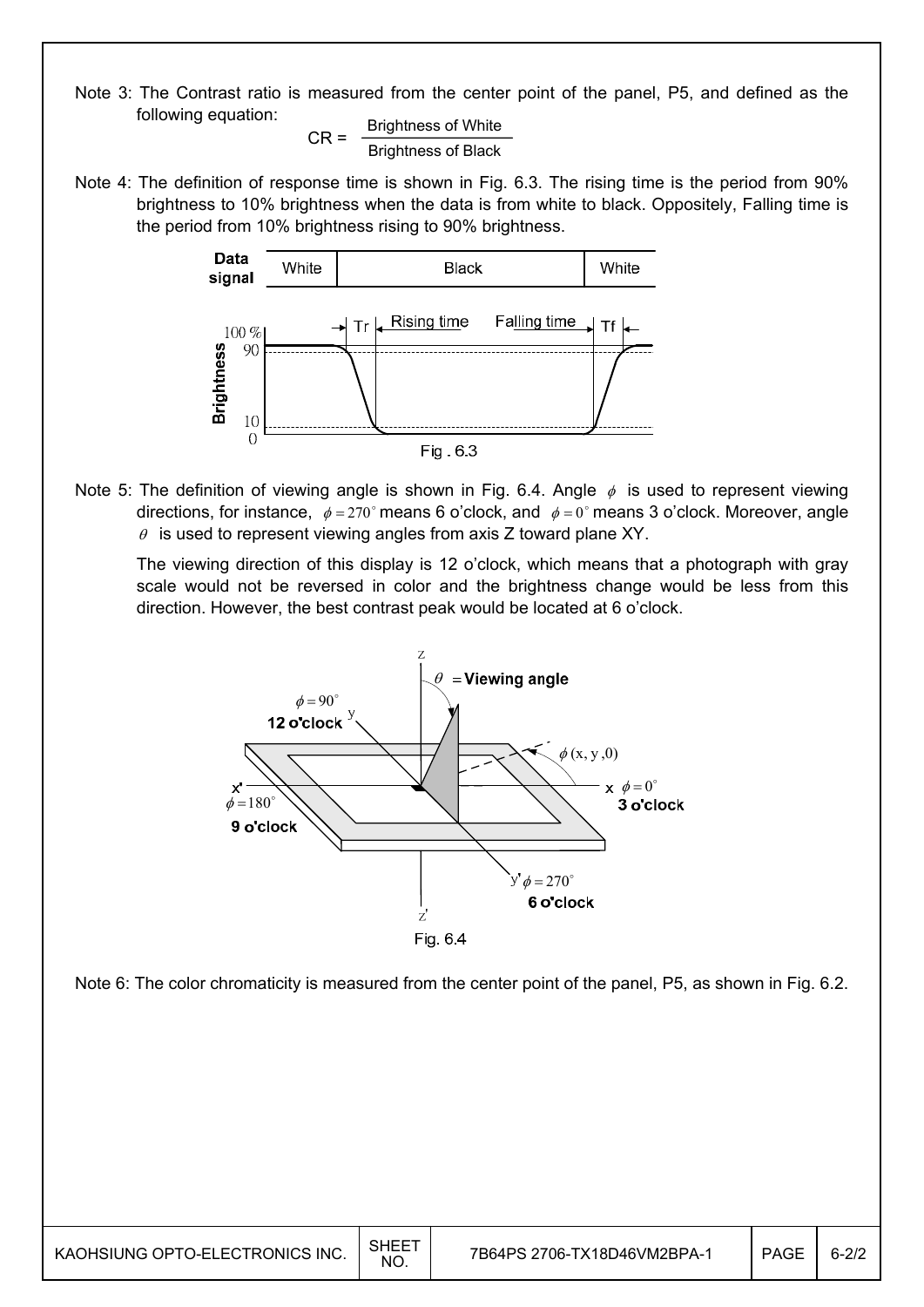Note 3: The Contrast ratio is measured from the center point of the panel, P5, and defined as the following equation:

 $CR =$  Brightness of White Brightness of Black

Note 4: The definition of response time is shown in Fig. 6.3. The rising time is the period from 90% brightness to 10% brightness when the data is from white to black. Oppositely, Falling time is the period from 10% brightness rising to 90% brightness.



Note 5: The definition of viewing angle is shown in Fig. 6.4. Angle  $\phi$  is used to represent viewing directions, for instance,  $\phi = 270^\circ$  means 6 o'clock, and  $\phi = 0^\circ$  means 3 o'clock. Moreover, angle  $\theta$  is used to represent viewing angles from axis Z toward plane XY.

 The viewing direction of this display is 12 o'clock, which means that a photograph with gray scale would not be reversed in color and the brightness change would be less from this direction. However, the best contrast peak would be located at 6 o'clock.



Note 6: The color chromaticity is measured from the center point of the panel, P5, as shown in Fig. 6.2.

| KAOHSIUNG OPTO-ELECTRONICS INC. | SHEE <sup>-</sup><br>NO. | 7B64PS 2706-TX18D46VM2BPA-1 | PAGE | $6-2/2$ |
|---------------------------------|--------------------------|-----------------------------|------|---------|
|---------------------------------|--------------------------|-----------------------------|------|---------|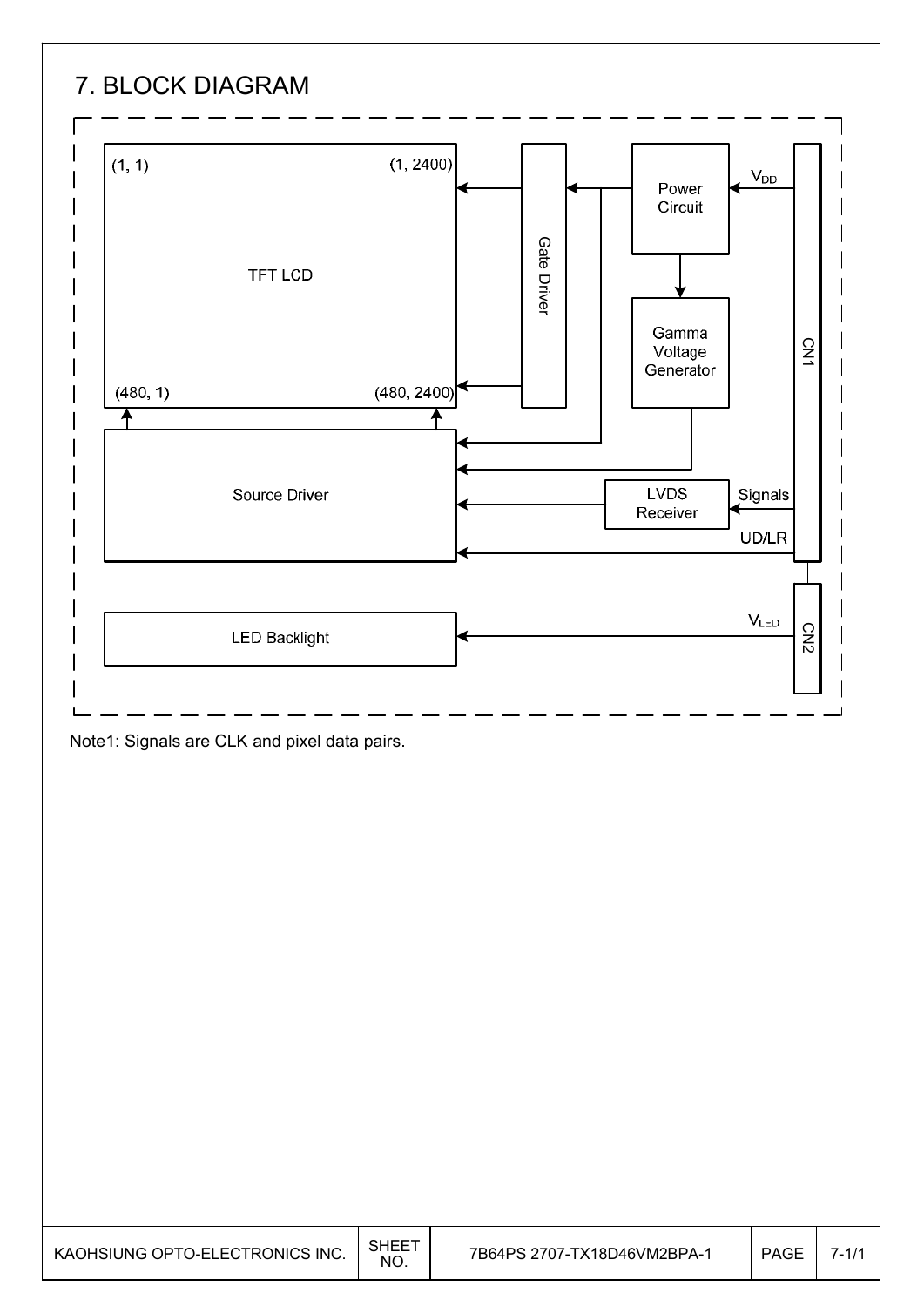# 7. BLOCK DIAGRAM



Note1: Signals are CLK and pixel data pairs.

| KAOHSIUNG OPTO-ELECTRONICS INC. | SHEET<br><b>NO</b> | 7B64PS 2707-TX18D46VM2BPA-1 | <b>PAGE</b> |  |
|---------------------------------|--------------------|-----------------------------|-------------|--|
|---------------------------------|--------------------|-----------------------------|-------------|--|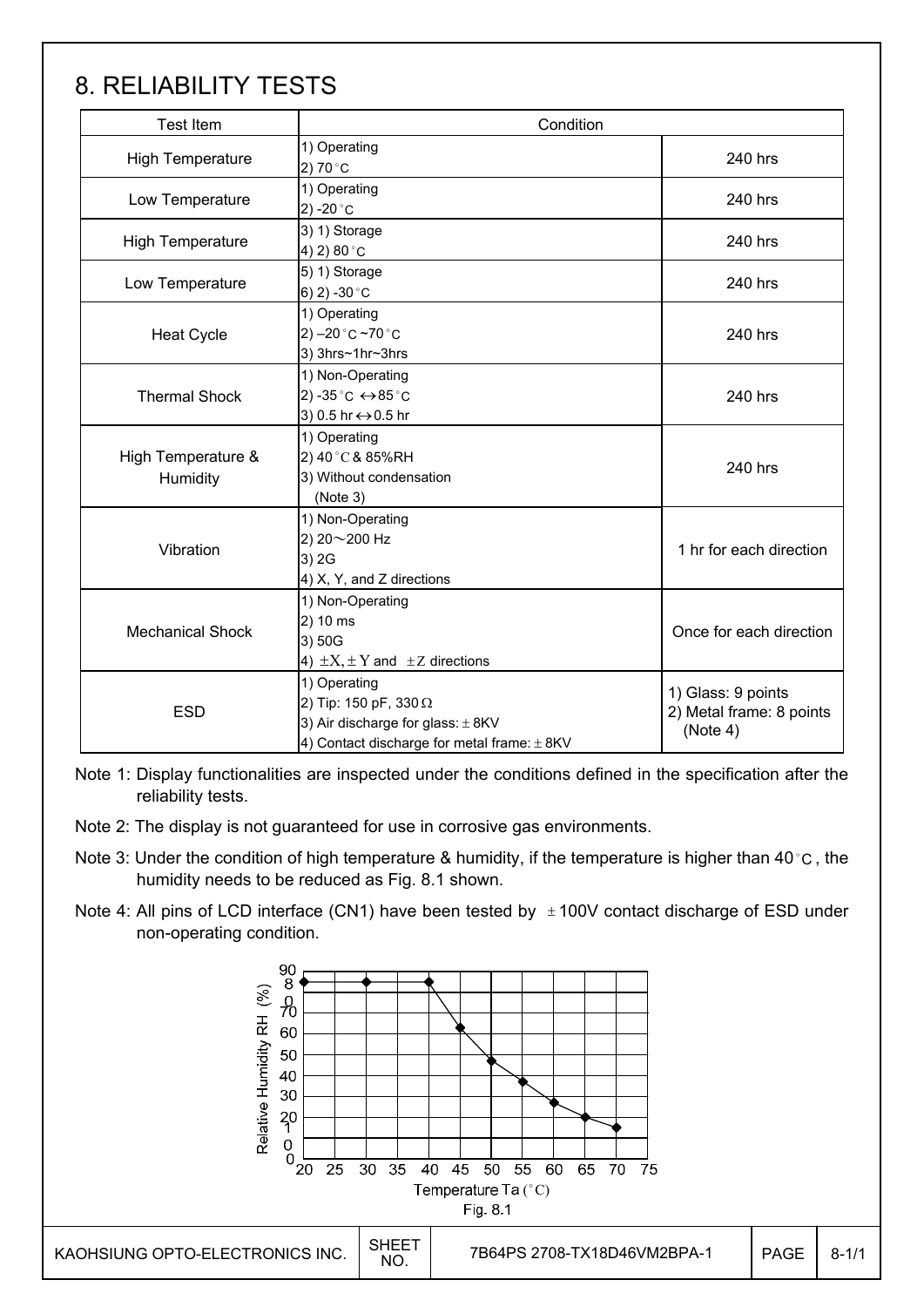# 8. RELIABILITY TESTS

| <b>Test Item</b>               | Condition                                                                             |                         |  |  |  |  |
|--------------------------------|---------------------------------------------------------------------------------------|-------------------------|--|--|--|--|
| <b>High Temperature</b>        | 1) Operating<br>2) 70 °C                                                              | 240 hrs                 |  |  |  |  |
| Low Temperature                | 1) Operating<br>2) -20 $^{\circ}$ C                                                   | 240 hrs                 |  |  |  |  |
| <b>High Temperature</b>        | 3) 1) Storage<br>4) 2) 80 °C                                                          | 240 hrs                 |  |  |  |  |
| Low Temperature                | 5) 1) Storage<br>6) 2) -30 $^{\circ}$ C                                               | 240 hrs                 |  |  |  |  |
| <b>Heat Cycle</b>              | 1) Operating<br>2) $-20$ °C $-70$ °C<br>3) 3hrs~1hr~3hrs                              | 240 hrs                 |  |  |  |  |
| <b>Thermal Shock</b>           | 1) Non-Operating<br>2) -35 °C ↔ 85 °C<br>3) 0.5 hr ↔ 0.5 hr                           |                         |  |  |  |  |
| High Temperature &<br>Humidity | 1) Operating<br>2) 40°C & 85%RH<br>3) Without condensation<br>(Note 3)                | 240 hrs                 |  |  |  |  |
| Vibration                      | 1) Non-Operating<br>2) 20~200 Hz<br>3) 2G<br>4) X, Y, and Z directions                | 1 hr for each direction |  |  |  |  |
| <b>Mechanical Shock</b>        | 1) Non-Operating<br>2) 10 ms<br>3) 50G<br>4) $\pm X$ , $\pm Y$ and $\pm Z$ directions | Once for each direction |  |  |  |  |
| <b>ESD</b>                     | 1) Glass: 9 points<br>2) Metal frame: 8 points<br>(Note 4)                            |                         |  |  |  |  |

Note 1: Display functionalities are inspected under the conditions defined in the specification after the reliability tests.

- Note 2: The display is not guaranteed for use in corrosive gas environments.
- Note 3: Under the condition of high temperature & humidity, if the temperature is higher than 40 °C, the humidity needs to be reduced as Fig. 8.1 shown.
- Note 4: All pins of LCD interface (CN1) have been tested by  $\pm 100V$  contact discharge of ESD under non-operating condition.

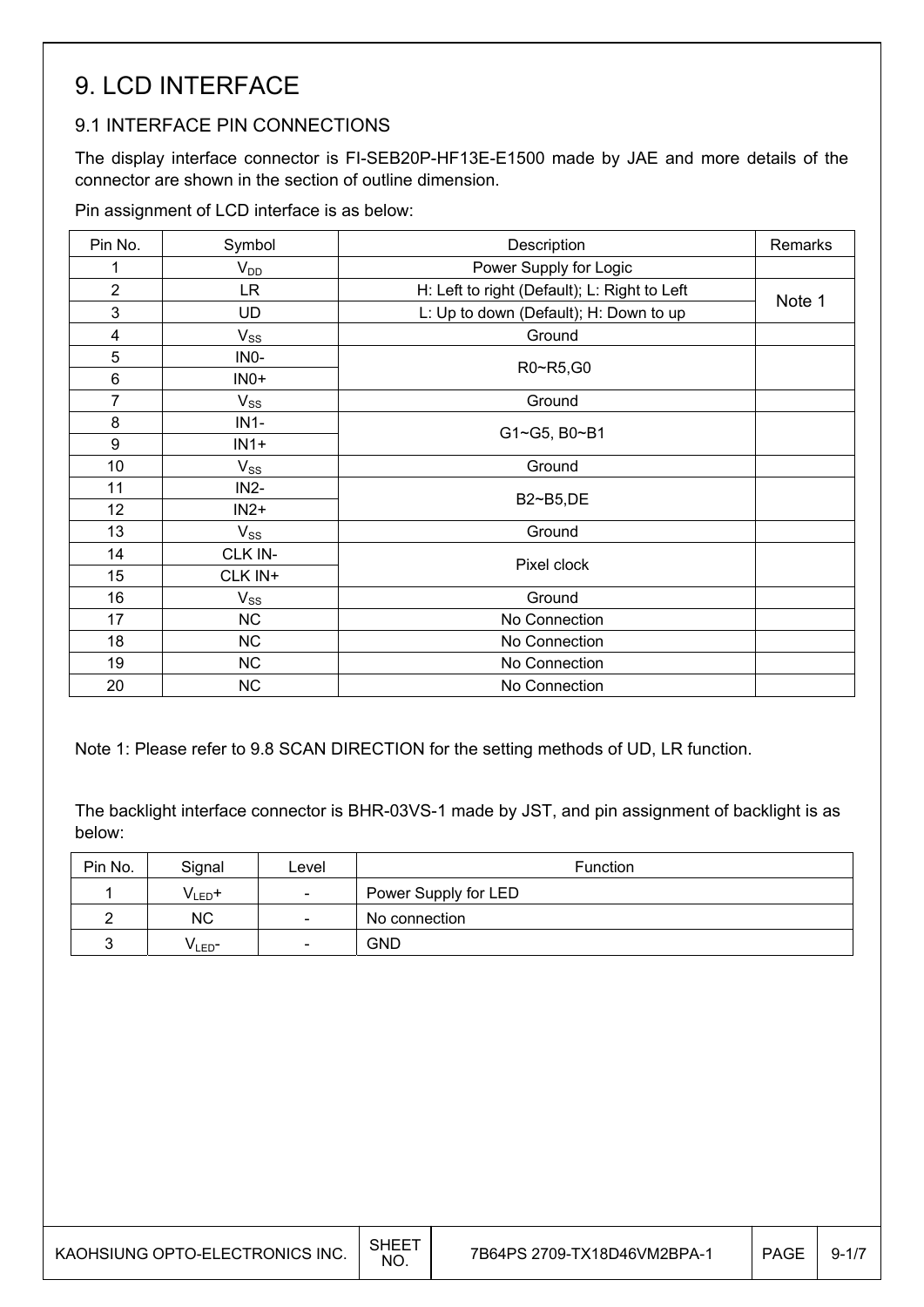## 9. LCD INTERFACE

### 9.1 INTERFACE PIN CONNECTIONS

The display interface connector is FI-SEB20P-HF13E-E1500 made by JAE and more details of the connector are shown in the section of outline dimension.

Pin assignment of LCD interface is as below:

| Pin No.        | Symbol    | Description                                  | Remarks |
|----------------|-----------|----------------------------------------------|---------|
| 1              | $V_{DD}$  | Power Supply for Logic                       |         |
| $\overline{2}$ | LR.       | H: Left to right (Default); L: Right to Left |         |
| 3              | <b>UD</b> | L: Up to down (Default); H: Down to up       | Note 1  |
| 4              | $V_{SS}$  | Ground                                       |         |
| 5              | INO-      |                                              |         |
| 6              | $INO+$    | R0~R5,G0                                     |         |
| 7              | $V_{SS}$  | Ground                                       |         |
| 8              | $IN1-$    |                                              |         |
| 9              | $IN1+$    | G1~G5, B0~B1                                 |         |
| 10             | $V_{SS}$  | Ground                                       |         |
| 11             | $IN2-$    | B2~B5,DE                                     |         |
| 12             | $IN2+$    |                                              |         |
| 13             | $V_{SS}$  | Ground                                       |         |
| 14             | CLK IN-   | Pixel clock                                  |         |
| 15             | CLK IN+   |                                              |         |
| 16             | $V_{SS}$  | Ground                                       |         |
| 17             | <b>NC</b> | No Connection                                |         |
| 18             | <b>NC</b> | No Connection                                |         |
| 19             | <b>NC</b> | No Connection                                |         |
| 20             | <b>NC</b> | No Connection                                |         |

Note 1: Please refer to 9.8 SCAN DIRECTION for the setting methods of UD, LR function.

The backlight interface connector is BHR-03VS-1 made by JST, and pin assignment of backlight is as below:

| Pin No. | Signal             | Level                    | <b>Function</b>      |
|---------|--------------------|--------------------------|----------------------|
|         | $V_{LED}$ +        | $\overline{\phantom{a}}$ | Power Supply for LED |
|         | <b>NC</b>          | $\overline{\phantom{a}}$ | No connection        |
|         | V <sub>LED</sub> − | $\overline{\phantom{a}}$ | GND                  |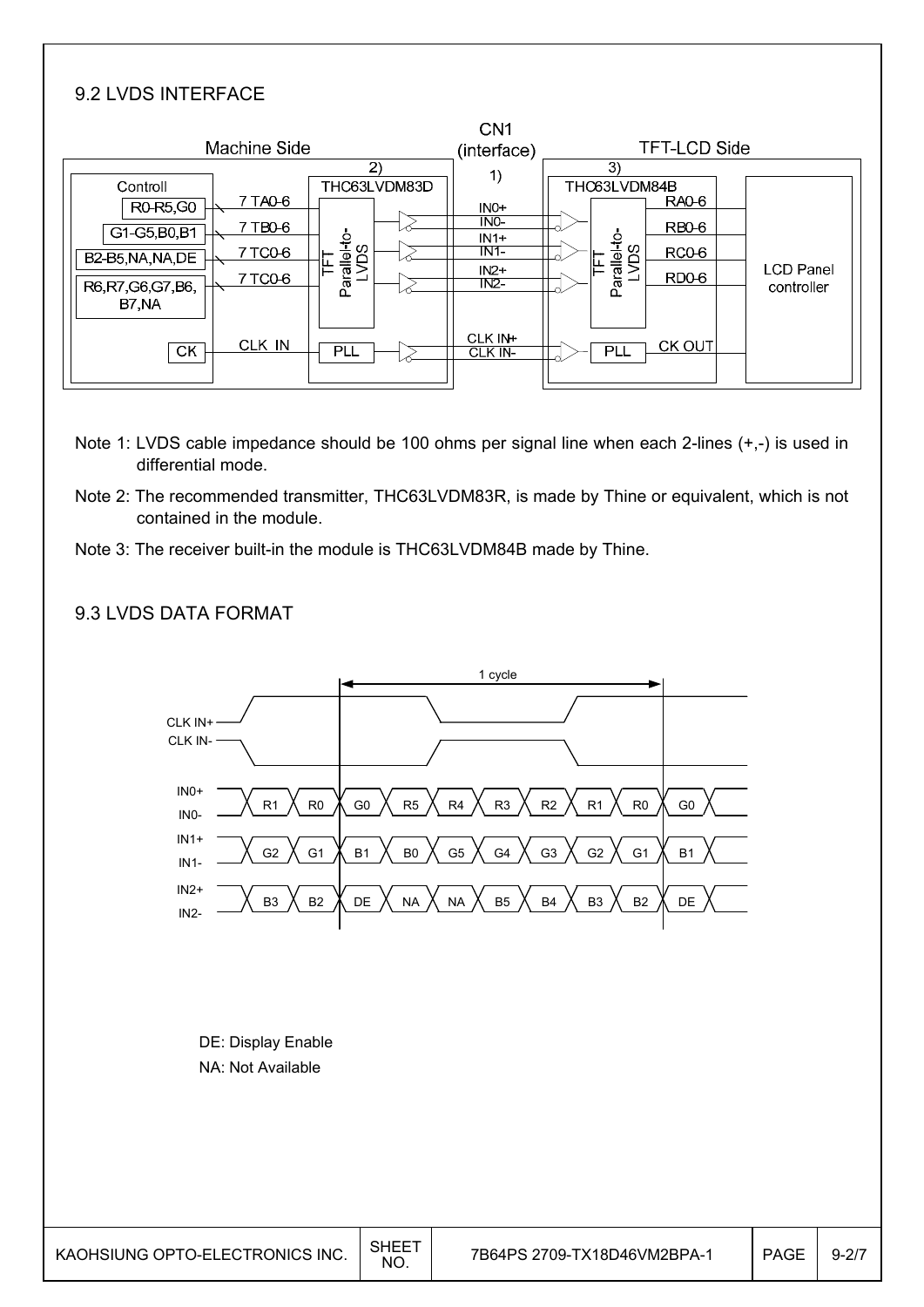## 9.2 LVDS INTERFACE

|                      | Machine Side |                           |              | CN <sub>1</sub><br>(interface) |                      | <b>TFT-LCD Side</b> |                                |
|----------------------|--------------|---------------------------|--------------|--------------------------------|----------------------|---------------------|--------------------------------|
|                      |              | $\mathbf{2}$              |              |                                | 3)                   |                     |                                |
| Controll<br>R0-R5,G0 | 7 TA0-6      |                           | THC63LVDM83D | 1)<br>$INO+$                   | THC63LVDM84B         | <b>RA0-6</b>        |                                |
| G1-G5, B0, B1        | 7 TB0-6      |                           |              | NO<br>$IN1+$                   |                      | RB <sub>0</sub> -6  |                                |
| B2-B5, NA, NA, DE    | 7 TC0-6      |                           |              | IN1                            |                      | RC <sub>0</sub> -6  |                                |
| R6, R7, G6, G7, B6,  | 7 TC0-6      | Parallel-to-<br>LVDS<br>ᄃ |              | $IN2+$<br>N2                   | Parallel-to-<br>LVDS | <b>RD0-6</b>        | <b>LCD Panel</b><br>controller |
| B7 NA                |              |                           |              |                                |                      |                     |                                |
| <b>CK</b>            | CLK IN       | <b>PLL</b>                |              | CLK IN+<br>CLK IN-             | PLL                  | <b>CK OUT</b>       |                                |

- Note 1: LVDS cable impedance should be 100 ohms per signal line when each 2-lines (+,-) is used in differential mode.
- Note 2: The recommended transmitter, THC63LVDM83R, is made by Thine or equivalent, which is not contained in the module.
- Note 3: The receiver built-in the module is THC63LVDM84B made by Thine.

### 9.3 LVDS DATA FORMAT

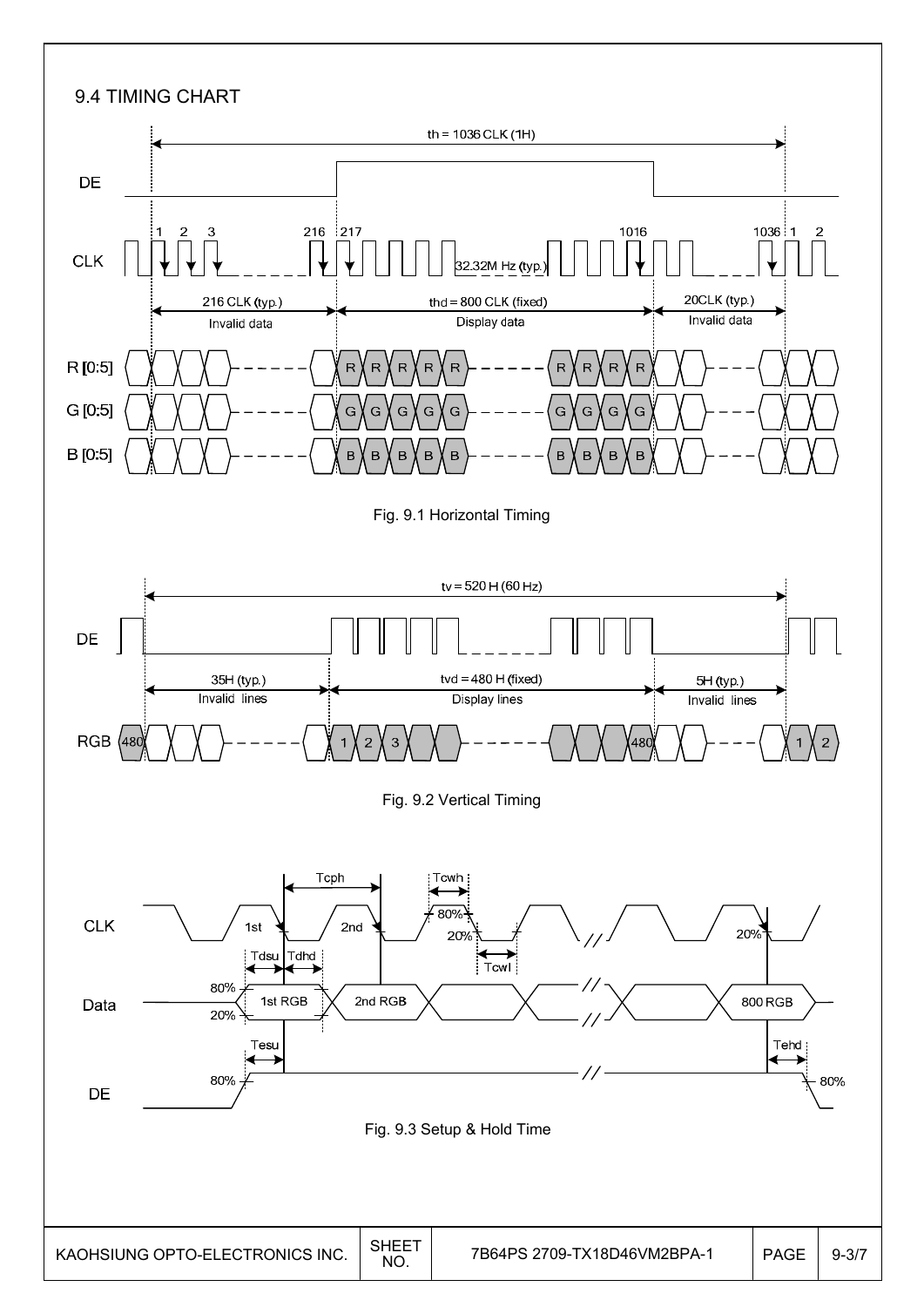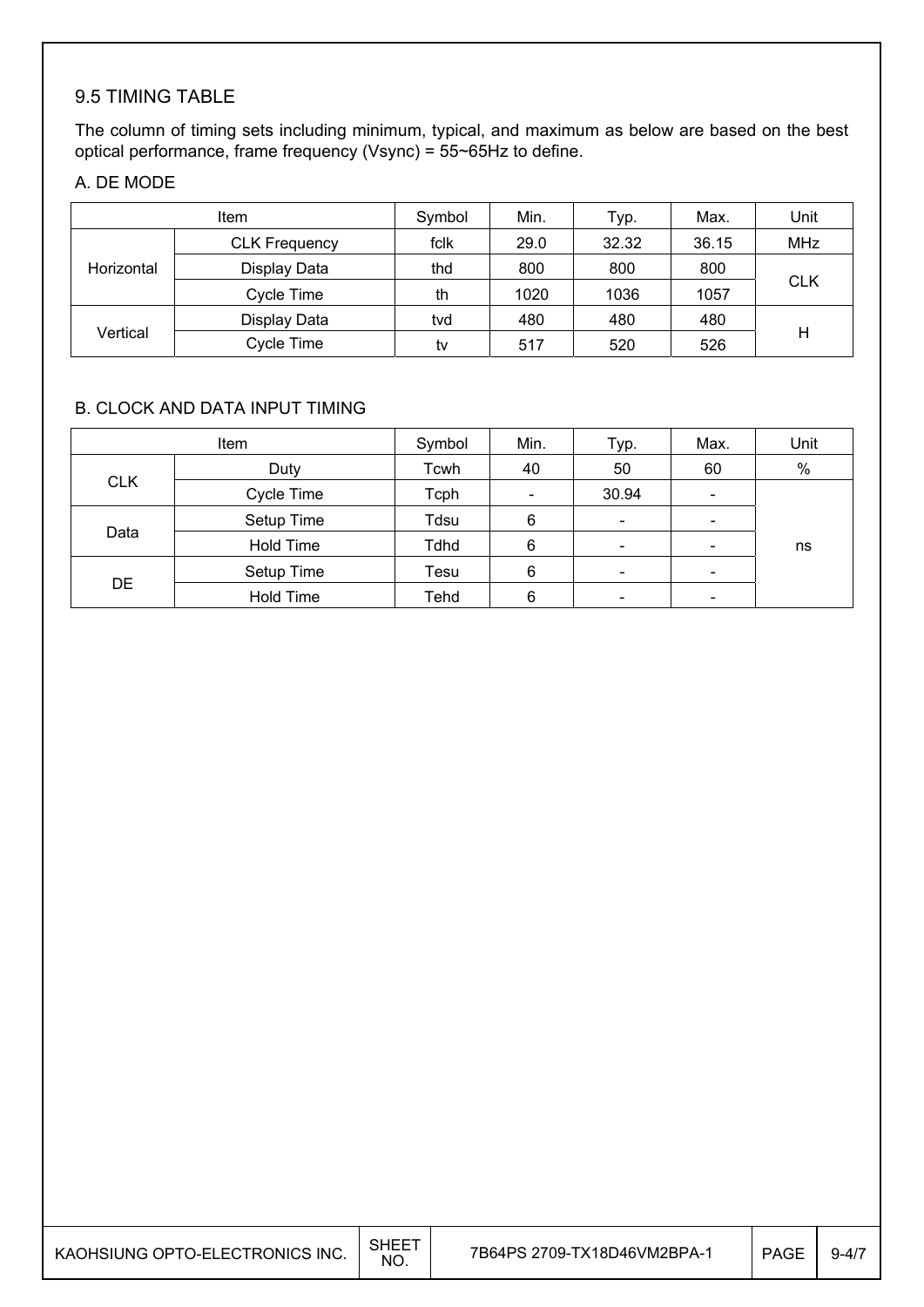## 9.5 TIMING TABLE

The column of timing sets including minimum, typical, and maximum as below are based on the best optical performance, frame frequency (Vsync) = 55~65Hz to define.

## A. DE MODE

|            | <b>Item</b>          | Symbol | Min. | Typ.  | Max.  | Unit       |
|------------|----------------------|--------|------|-------|-------|------------|
|            | <b>CLK Frequency</b> | fclk   | 29.0 | 32.32 | 36.15 | <b>MHz</b> |
| Horizontal | Display Data         | thd    | 800  | 800   | 800   |            |
|            | Cycle Time           | th     | 1020 | 1036  | 1057  | <b>CLK</b> |
|            | Display Data         | tvd    | 480  | 480   | 480   |            |
| Vertical   | Cycle Time           | tv     | 517  | 520   | 526   | Η          |

#### B. CLOCK AND DATA INPUT TIMING

|            | Item             | Symbol      | Min.                     | Typ.                     | Max.                         | Unit |
|------------|------------------|-------------|--------------------------|--------------------------|------------------------------|------|
|            | Duty             | Tcwh        | 40                       | 50                       | 60                           | $\%$ |
| <b>CLK</b> | Cycle Time       | Tcph        | $\overline{\phantom{a}}$ | 30.94                    | $\overline{\phantom{a}}$     |      |
|            | Setup Time       | Tdsu        | 6                        | $\overline{\phantom{a}}$ | $\qquad \qquad \blacksquare$ |      |
| Data       | Hold Time        | <b>Tdhd</b> | 6                        | $\overline{\phantom{a}}$ | $\qquad \qquad \blacksquare$ | ns   |
|            | Setup Time       | Tesu        | 6                        | $\overline{\phantom{a}}$ | $\overline{\phantom{0}}$     |      |
| <b>DE</b>  | <b>Hold Time</b> | Tehd        | 6                        |                          |                              |      |

| KAOHSIUNG OPTO-ELECTRONICS INC. | SHEET<br>NO. | 7B64PS 2709-TX18D46VM2BPA-1 | <b>PAGE</b> | $9 - 4/7$ |
|---------------------------------|--------------|-----------------------------|-------------|-----------|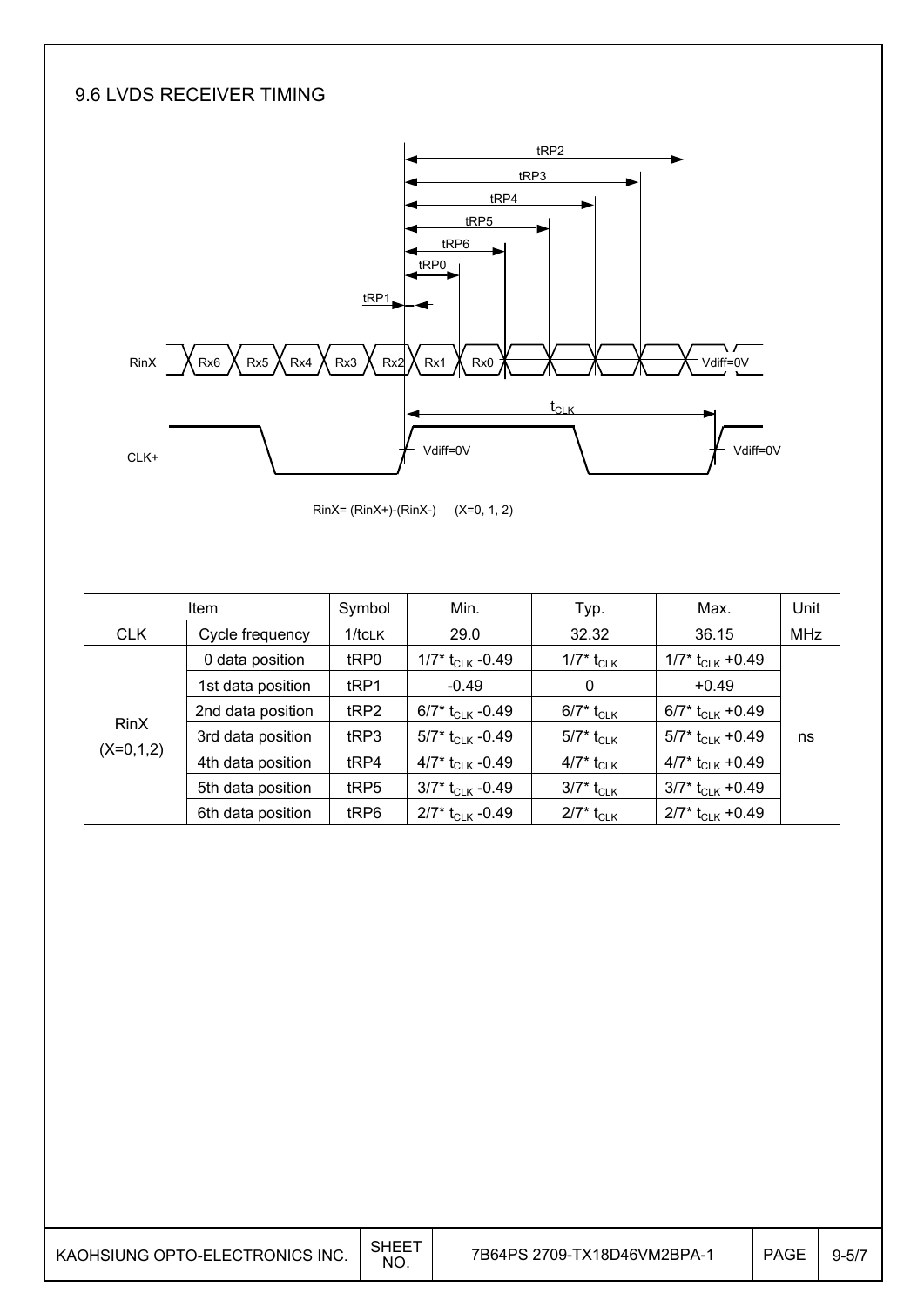## 9.6 LVDS RECEIVER TIMING



RinX= (RinX+)-(RinX-) (X=0, 1, 2)

|             | <b>Item</b>       | Symbol    | Min.                           | Typ.                                      | Max.                           | Unit       |
|-------------|-------------------|-----------|--------------------------------|-------------------------------------------|--------------------------------|------------|
| <b>CLK</b>  | Cycle frequency   | $1/t$ CLK | 29.0                           | 32.32                                     | 36.15                          | <b>MHz</b> |
|             | 0 data position   | tRP0      | 1/7* $t_{\text{CLK}}$ -0.49    | 1/7* $t_{\scriptscriptstyle{\text{CLK}}}$ | $1/7$ * t <sub>CLK</sub> +0.49 |            |
|             | 1st data position | tRP1      | $-0.49$                        | 0                                         | $+0.49$                        |            |
|             | 2nd data position | tRP2      | 6/7* $t_{C1K}$ -0.49           | 6/7* t <sub>CLK</sub>                     | 6/7* $t_{CLK}$ +0.49           |            |
| <b>RinX</b> | 3rd data position | tRP3      | 5/7* $t_{CLK}$ -0.49           | $5/7^*$ t <sub>CLK</sub>                  | 5/7* t <sub>CLK</sub> +0.49    | ns         |
| $(X=0,1,2)$ | 4th data position | tRP4      | 4/7* $t_{CLK}$ -0.49           | 4/7* t <sub>CLK</sub>                     | 4/7* $t_{CLK}$ +0.49           |            |
|             | 5th data position | tRP5      | $3/7$ * t <sub>CLK</sub> -0.49 | 3/7* t <sub>CLK</sub>                     | $3/7$ * t <sub>CLK</sub> +0.49 |            |
|             | 6th data position | tRP6      | $2/7$ * t <sub>CLK</sub> -0.49 | $2/7^*$ t <sub>CLK</sub>                  | $2/7$ * t <sub>CLK</sub> +0.49 |            |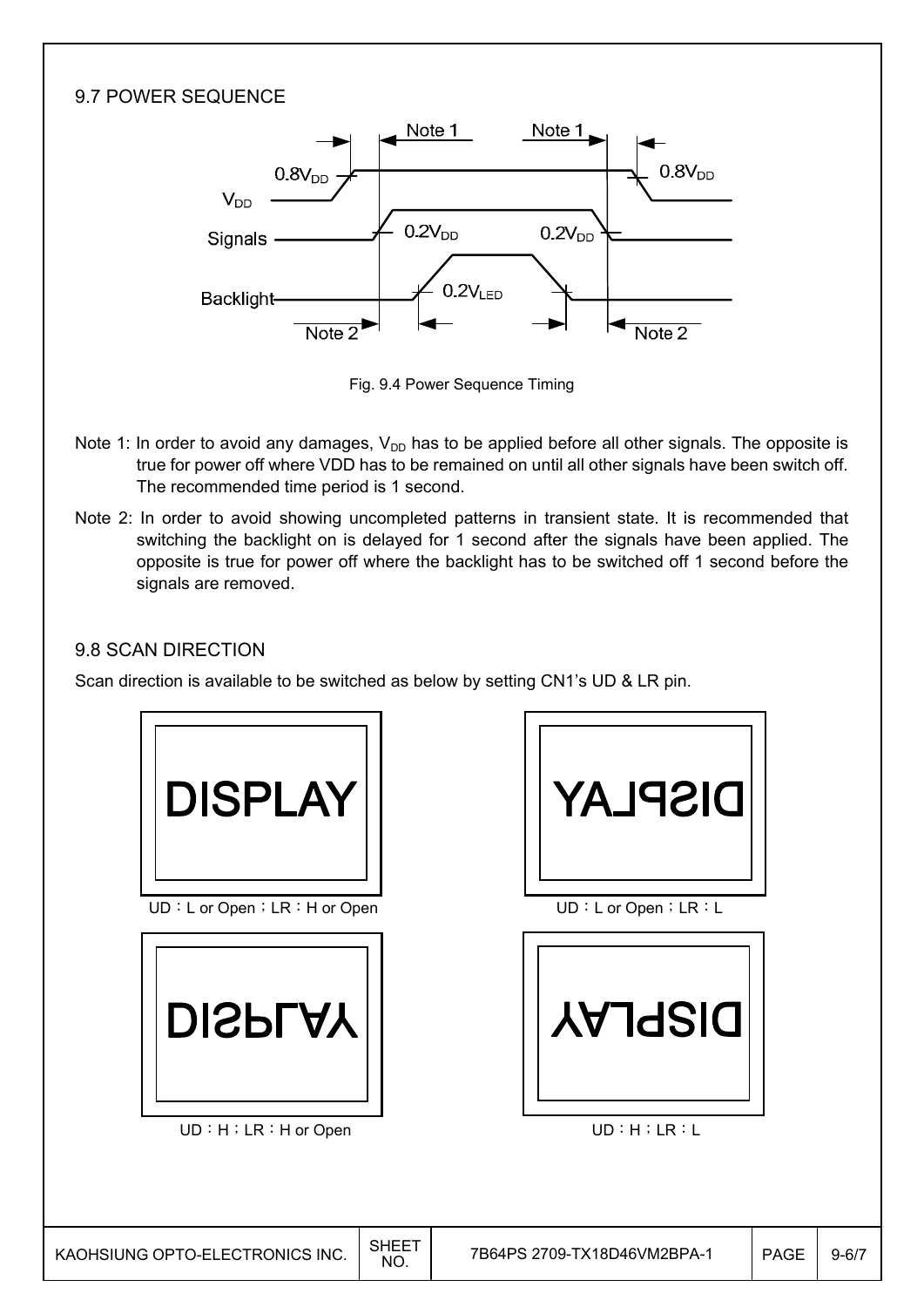#### 9.7 POWER SEQUENCE Note 1 Note 1  $0.8V_{DD}$  $0.8V_{DD}$  $V_{DD}$  $0.2V_{DD}$  $0.2V<sub>DD</sub>$ Signals - $0.2V_{\text{ED}}$ Backlight- $\overline{\text{Note } 2}$  $Note 2$

Fig. 9.4 Power Sequence Timing

- Note 1: In order to avoid any damages,  $V_{DD}$  has to be applied before all other signals. The opposite is true for power off where VDD has to be remained on until all other signals have been switch off. The recommended time period is 1 second.
- Note 2: In order to avoid showing uncompleted patterns in transient state. It is recommended that switching the backlight on is delayed for 1 second after the signals have been applied. The opposite is true for power off where the backlight has to be switched off 1 second before the signals are removed.

## 9.8 SCAN DIRECTION

Scan direction is available to be switched as below by setting CN1's UD & LR pin.





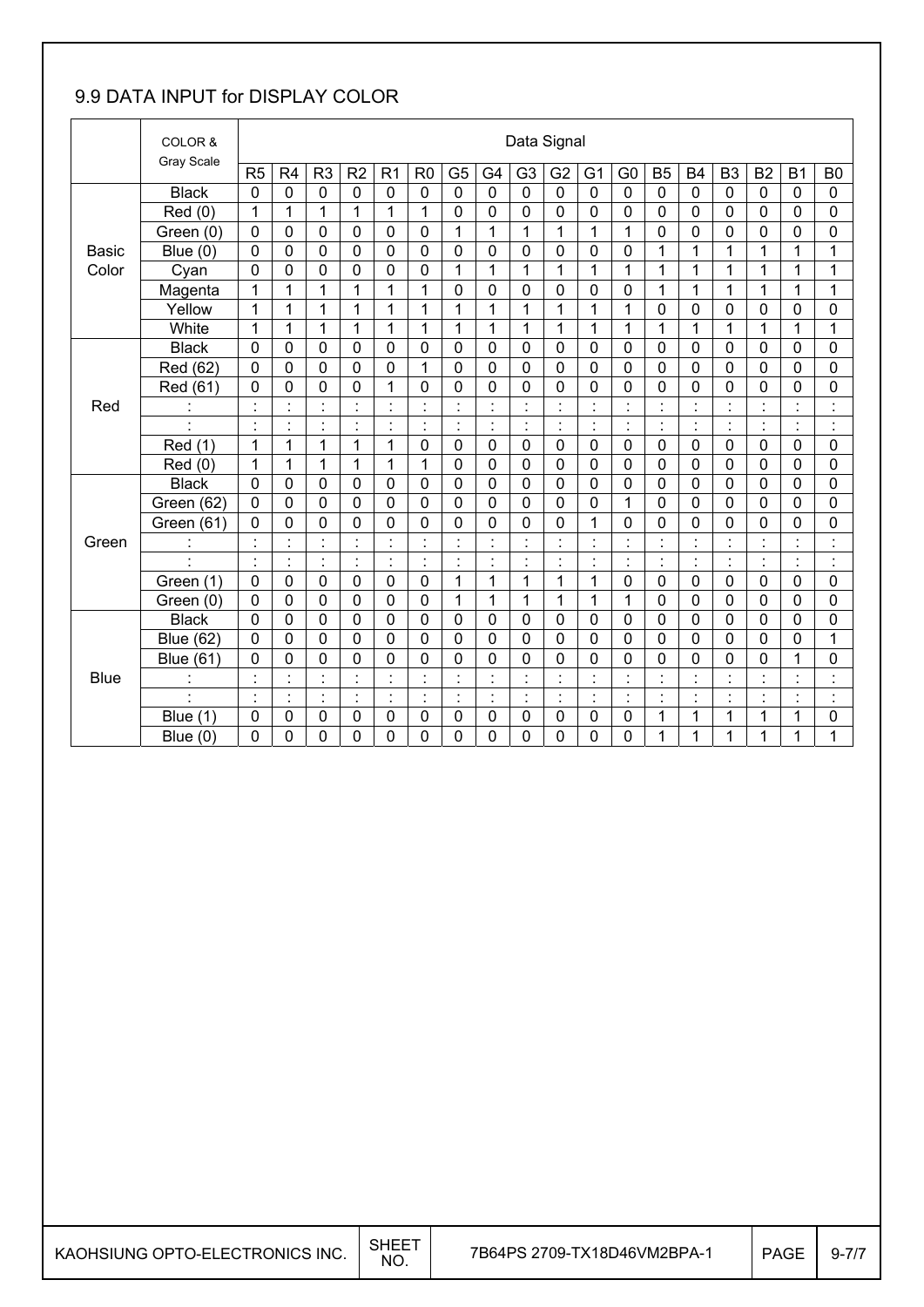## 9.9 DATA INPUT for DISPLAY COLOR

|              | COLOR &<br>Gray Scale |                | Data Signal          |                           |                |                                 |                          |                |                                  |                |                      |                |                                  |                |                |                |                          |                |                      |
|--------------|-----------------------|----------------|----------------------|---------------------------|----------------|---------------------------------|--------------------------|----------------|----------------------------------|----------------|----------------------|----------------|----------------------------------|----------------|----------------|----------------|--------------------------|----------------|----------------------|
|              |                       | R5             | R <sub>4</sub>       | R <sub>3</sub>            | R <sub>2</sub> | R <sub>1</sub>                  | R <sub>0</sub>           | G <sub>5</sub> | G <sub>4</sub>                   | G <sub>3</sub> | G <sub>2</sub>       | G <sub>1</sub> | G <sub>0</sub>                   | <b>B5</b>      | <b>B4</b>      | B <sub>3</sub> | B <sub>2</sub>           | B <sub>1</sub> | B <sub>0</sub>       |
|              | <b>Black</b>          | $\mathbf 0$    | 0                    | 0                         | $\mathbf 0$    | $\mathbf 0$                     | $\mathbf 0$              | 0              | $\mathbf 0$                      | $\mathbf 0$    | 0                    | $\mathbf 0$    | $\mathbf 0$                      | $\mathbf 0$    | $\mathbf 0$    | $\mathbf 0$    | 0                        | $\mathbf{0}$   | 0                    |
|              | Red (0)               | 1              | 1                    | 1                         | 1              | 1                               | 1                        | $\mathbf 0$    | $\mathbf 0$                      | 0              | 0                    | 0              | 0                                | 0              | 0              | $\mathbf 0$    | 0                        | 0              | 0                    |
|              | Green (0)             | 0              | 0                    | 0                         | $\mathbf 0$    | 0                               | $\mathbf 0$              | $\overline{1}$ | $\mathbf{1}$                     | $\mathbf{1}$   | 1                    | 1              | $\mathbf{1}$                     | $\mathbf 0$    | 0              | $\mathbf 0$    | 0                        | 0              | 0                    |
| <b>Basic</b> | Blue (0)              | $\mathbf 0$    | $\mathbf 0$          | $\mathbf 0$               | $\mathbf 0$    | $\mathbf 0$                     | $\mathbf 0$              | $\mathbf 0$    | $\mathbf 0$                      | 0              | $\mathbf 0$          | $\mathbf 0$    | 0                                | $\mathbf{1}$   | $\mathbf{1}$   | $\overline{1}$ | 1                        | 1              | 1                    |
| Color        | Cyan                  | $\mathbf 0$    | 0                    | 0                         | $\mathbf 0$    | 0                               | $\mathbf 0$              | 1              | 1                                | 1              | 1                    | 1              | 1                                | 1              | 1              | 1              | 1                        | 1              | 1                    |
|              | Magenta               | 1              | 1                    | 1                         | 1              | 1                               | 1                        | $\mathbf 0$    | $\mathbf 0$                      | 0              | $\mathbf 0$          | $\mathbf 0$    | $\mathbf 0$                      | 1              | 1              | 1              | 1                        | 1              | 1                    |
|              | Yellow                | $\mathbf{1}$   | 1                    | 1                         | 1              | 1                               | 1                        | 1              | $\mathbf{1}$                     | 1              | $\mathbf{1}$         | 1              | 1                                | $\mathbf 0$    | 0              | $\mathbf 0$    | 0                        | 0              | 0                    |
|              | White                 | 1              | 1                    | 1                         | 1              | $\mathbf{1}$                    | 1                        | $\mathbf 1$    | $\mathbf 1$                      | 1              | 1                    | 1              | $\mathbf{1}$                     | 1              | $\mathbf{1}$   | 1              | 1                        | 1              | 1                    |
|              | <b>Black</b>          | 0              | 0                    | 0                         | $\mathbf 0$    | 0                               | $\mathbf 0$              | $\mathbf 0$    | $\mathbf 0$                      | 0              | $\mathbf 0$          | $\mathbf 0$    | 0                                | $\mathbf 0$    | 0              | $\mathbf 0$    | $\mathbf 0$              | $\mathbf 0$    | 0                    |
|              | Red (62)              | $\mathbf 0$    | $\overline{0}$       | 0                         | $\mathbf 0$    | $\mathbf 0$                     | 1                        | 0              | $\mathbf 0$                      | 0              | $\overline{0}$       | $\overline{0}$ | 0                                | $\overline{0}$ | $\overline{0}$ | $\overline{0}$ | 0                        | $\mathbf 0$    | 0                    |
|              | Red (61)              | 0              | 0                    | 0                         | $\mathbf 0$    | 1                               | $\mathbf 0$              | $\mathbf 0$    | 0                                | 0              | 0                    | $\mathbf 0$    | 0                                | 0              | $\mathbf 0$    | $\mathbf 0$    | 0                        | 0              | 0                    |
| Red          | $\blacksquare$        | $\blacksquare$ | $\blacksquare$       | $\blacksquare$            | $\cdot$        | $\ddot{\cdot}$                  | $\overline{\phantom{a}}$ | $\blacksquare$ | $\cdot$<br>×,                    | $\blacksquare$ | $\blacksquare$       | $\cdot$        | $\blacksquare$<br>$\cdot$        | $\blacksquare$ | $\cdot$        | $\cdot$        | $\blacksquare$           | $\blacksquare$ | $\blacksquare$<br>×, |
|              | $\cdot$               | $\blacksquare$ | $\blacksquare$       | $\blacksquare$            | $\blacksquare$ | $\cdot$<br>$\ddot{\phantom{a}}$ | $\blacksquare$           | $\blacksquare$ | $\cdot$<br>ä,                    | $\blacksquare$ | $\blacksquare$       | $\cdot$        | $\blacksquare$                   | $\blacksquare$ | $\blacksquare$ | $\cdot$        | $\blacksquare$           | $\blacksquare$ | $\blacksquare$<br>Ĭ. |
|              | Red (1)               | 1              | 1                    | $\mathbf{1}$              | 1              | $\mathbf{1}$                    | $\mathbf 0$              | 0              | $\mathbf 0$                      | 0              | $\mathbf 0$          | $\mathbf 0$    | 0                                | $\mathbf 0$    | $\mathbf 0$    | $\overline{0}$ | 0                        | $\mathbf 0$    | 0                    |
|              | Red (0)               | 1              | 1                    | 1                         | 1              | 1                               | 1                        | 0              | 0                                | 0              | 0                    | $\mathbf 0$    | 0                                | 0              | $\mathbf 0$    | $\mathbf 0$    | 0                        | 0              | 0                    |
|              | <b>Black</b>          | 0              | $\mathbf 0$          | 0                         | $\mathbf 0$    | 0                               | $\mathbf 0$              | $\mathbf 0$    | $\overline{0}$                   | 0              | $\mathbf 0$          | $\mathbf 0$    | 0                                | $\mathbf 0$    | 0              | $\overline{0}$ | 0                        | $\mathbf{0}$   | 0                    |
|              | Green (62)            | $\mathbf 0$    | 0                    | 0                         | $\mathbf 0$    | $\mathbf 0$                     | $\mathbf 0$              | 0              | $\mathbf 0$                      | 0              | $\mathbf 0$          | $\mathbf 0$    | 1                                | $\mathbf 0$    | 0              | $\mathbf 0$    | 0                        | $\mathbf 0$    | 0                    |
|              | Green (61)            | $\mathbf 0$    | 0                    | 0                         | 0              | 0                               | $\mathbf 0$              | 0              | 0                                | 0              | 0                    | 1              | 0                                | $\mathbf 0$    | $\overline{0}$ | $\overline{0}$ | 0                        | 0              | 0                    |
| Green        | $\ddot{\phantom{a}}$  | $\cdot$        | $\ddot{\cdot}$       | $\ddot{\cdot}$            | $\cdot$        | $\ddot{\cdot}$                  | $\blacksquare$           | t              | $\ddot{\cdot}$                   |                | $\blacksquare$       | $\cdot$        | $\ddot{\phantom{a}}$             | $\blacksquare$ |                | $\ddot{\cdot}$ | $\blacksquare$           | $\blacksquare$ | Ì                    |
|              | $\cdot$               | ÷              | $\ddot{\phantom{a}}$ | ċ                         | ċ              | $\ddot{\cdot}$                  | $\blacksquare$           | ċ,             | ċ,                               | ċ              | $\cdot$              | l,             | $\ddot{\cdot}$                   | l.             | t              | $\ddot{\cdot}$ | ł,                       | ř,             | $\ddot{\cdot}$       |
|              | Green (1)             | 0              | 0                    | 0                         | 0              | $\mathbf 0$                     | $\mathbf 0$              | 1              | 1                                | 1              | 1                    | 1              | 0                                | 0              | 0              | $\mathbf 0$    | 0                        | 0              | 0                    |
|              | Green (0)             | 0              | 0                    | 0                         | $\mathbf 0$    | 0                               | $\mathbf 0$              | 1              | $\mathbf{1}$                     | 1              | 1                    | 1              | 1                                | $\mathbf 0$    | 0              | $\mathbf 0$    | 0                        | 0              | 0                    |
|              | <b>Black</b>          | 0              | $\mathbf 0$          | 0                         | $\mathbf 0$    | 0                               | $\mathbf 0$              | $\mathbf 0$    | $\mathbf 0$                      | 0              | $\mathbf 0$          | $\mathbf 0$    | 0                                | $\mathbf 0$    | 0              | $\mathbf 0$    | 0                        | 0              | 0                    |
|              | <b>Blue (62)</b>      | $\mathbf 0$    | 0                    | 0                         | $\mathbf 0$    | $\mathbf 0$                     | $\mathbf 0$              | 0              | $\mathbf 0$                      | 0              | $\mathbf 0$          | 0              | 0                                | $\mathbf 0$    | $\overline{0}$ | $\overline{0}$ | 0                        | 0              | 1                    |
|              | <b>Blue (61)</b>      | 0              | 0                    | 0                         | 0              | 0                               | $\mathbf 0$              | 0              | 0                                | 0              | 0                    | 0              | 0                                | 0              | 0              | 0              | 0                        | 1              | 0                    |
| <b>Blue</b>  | ×.                    |                | ä,                   | $\cdot$<br>$\blacksquare$ | $\cdot$        | $\cdot$                         |                          | $\blacksquare$ | $\blacksquare$<br>$\blacksquare$ |                | $\cdot$              | $\cdot$        | $\blacksquare$<br>$\blacksquare$ |                |                | $\blacksquare$ | $\overline{\phantom{a}}$ | $\blacksquare$ | $\cdot$<br>٠         |
|              | ÷,                    | $\ddot{\cdot}$ | Ì.                   | $\blacksquare$            | $\cdot$        | $\ddot{\cdot}$                  | $\blacksquare$           | ł,             | $\ddot{\cdot}$                   | $\blacksquare$ | $\ddot{\phantom{a}}$ | $\blacksquare$ | $\ddot{\phantom{a}}$             | $\blacksquare$ | $\cdot$        | $\cdot$        | $\blacksquare$           | $\blacksquare$ | $\blacksquare$       |
|              | Blue (1)              | 0              | 0                    | 0                         | $\mathbf 0$    | 0                               | $\mathbf 0$              | 0              | $\mathbf 0$                      | 0              | 0                    | 0              | 0                                | 1              | $\mathbf{1}$   | 1              | 1                        | 1              | 0                    |
|              | Blue (0)              | 0              | 0                    | 0                         | 0              | 0                               | $\mathbf 0$              | 0              | 0                                | 0              | 0                    | 0              | 0                                | 1              | 1              | 1              | 1                        | 1              | 1                    |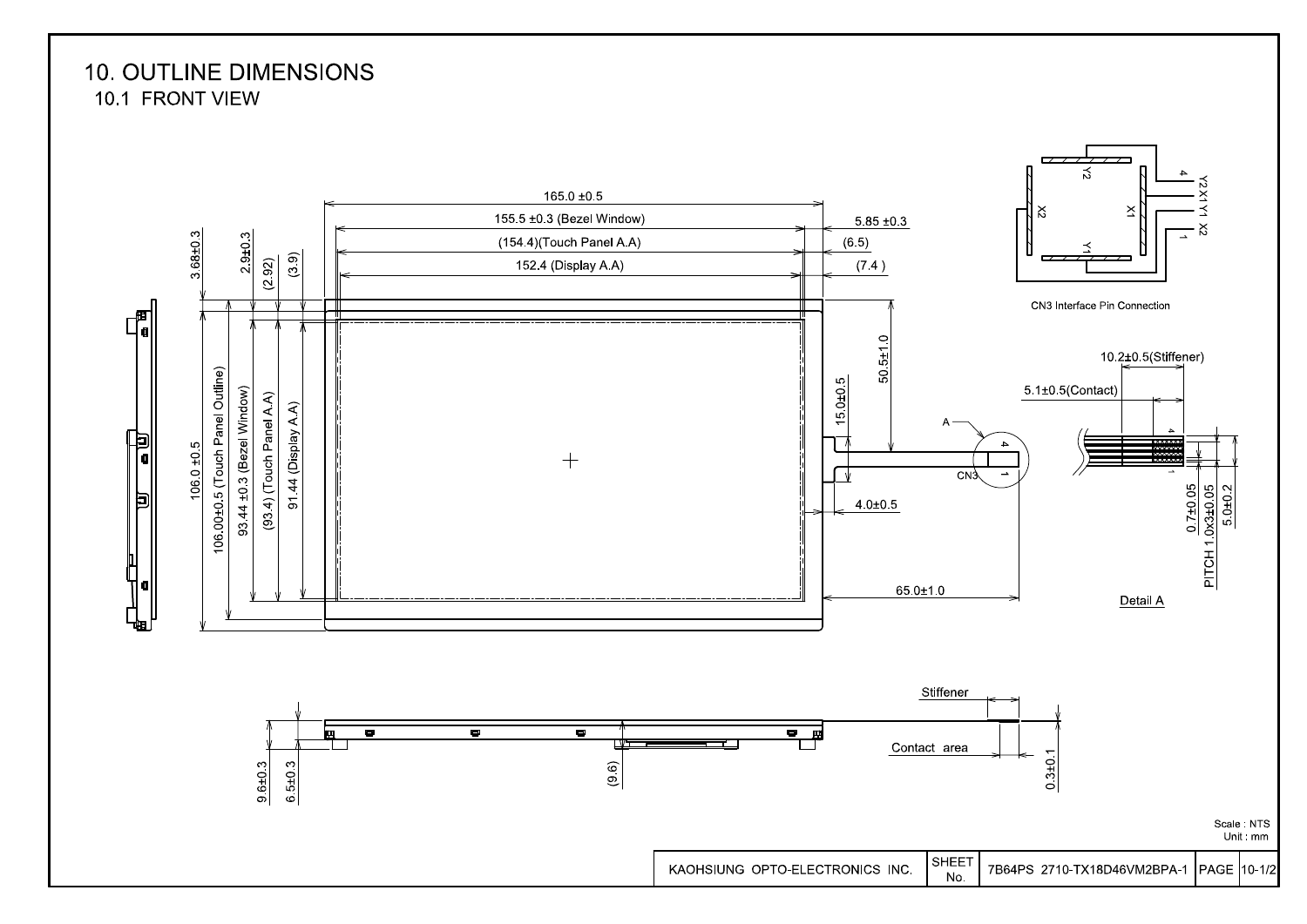**10. OUTLINE DIMENSIONS** 10.1 FRONT VIEW

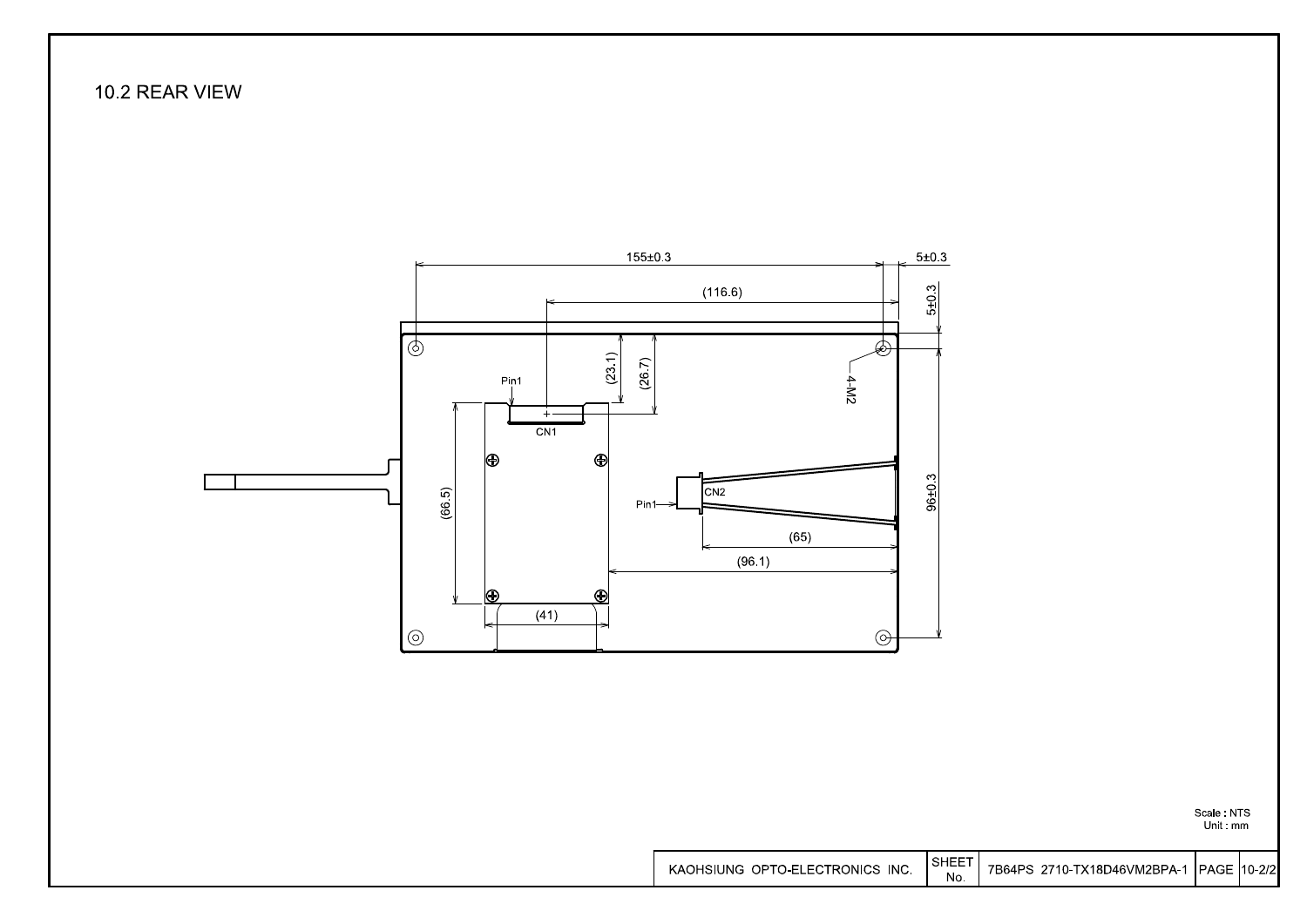### 10.2 REAR VIEW



Scale NTS<br>Unit mm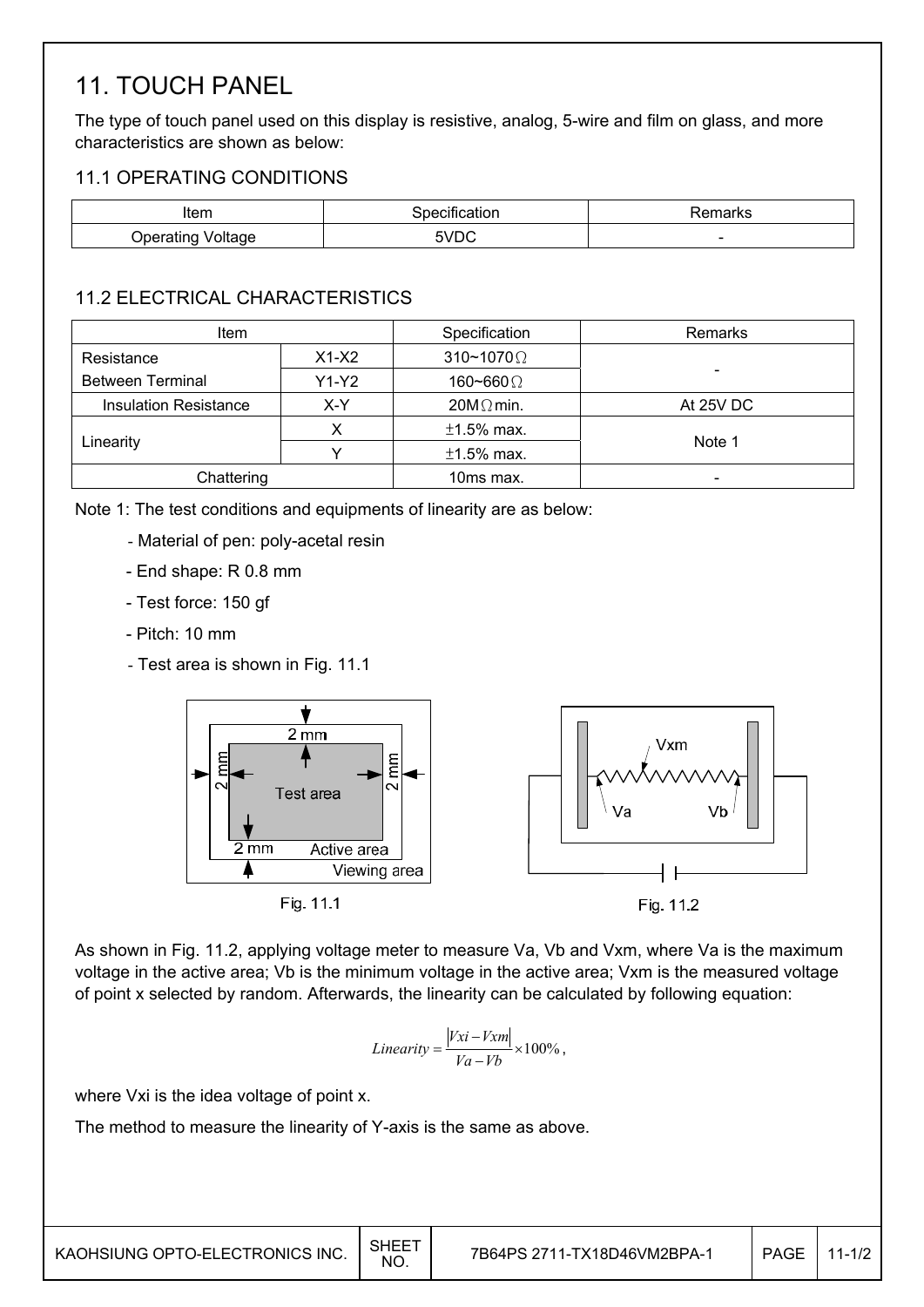# 11. TOUCH PANEL

The type of touch panel used on this display is resistive, analog, 5-wire and film on glass, and more characteristics are shown as below:

### 11.1 OPERATING CONDITIONS

| Item                                    | . .<br>salion<br> | ਾ ⊓ N⇔                   |
|-----------------------------------------|-------------------|--------------------------|
| ` ′oltage<br>Jperating<br>$-$ 0.000 $-$ | ν<br>VU U         | $\overline{\phantom{a}}$ |

### 11.2 ELECTRICAL CHARACTERISTICS

| Item                         |                             | Specification            | Remarks   |
|------------------------------|-----------------------------|--------------------------|-----------|
| Resistance                   | $X1-X2$                     | $310 \times 1070 \Omega$ |           |
| <b>Between Terminal</b>      | $Y1-Y2$<br>160~660 $\Omega$ |                          |           |
| <b>Insulation Resistance</b> | X-Y                         | $20M\Omega$ min.         | At 25V DC |
|                              |                             | $±1.5\%$ max.            |           |
| Linearity                    |                             | $±1.5\%$ max.            | Note 1    |
| Chattering                   |                             | 10ms max.                | -         |

Note 1: The test conditions and equipments of linearity are as below:

- Material of pen: poly-acetal resin
- End shape: R 0.8 mm
- Test force: 150 gf
- Pitch: 10 mm
- Test area is shown in Fig. 11.1



As shown in Fig. 11.2, applying voltage meter to measure Va, Vb and Vxm, where Va is the maximum voltage in the active area; Vb is the minimum voltage in the active area; Vxm is the measured voltage of point x selected by random. Afterwards, the linearity can be calculated by following equation:

$$
Linearity = \frac{|Vxi - Vxm|}{Va - Vb} \times 100\%,
$$

where Vxi is the idea voltage of point x.

The method to measure the linearity of Y-axis is the same as above.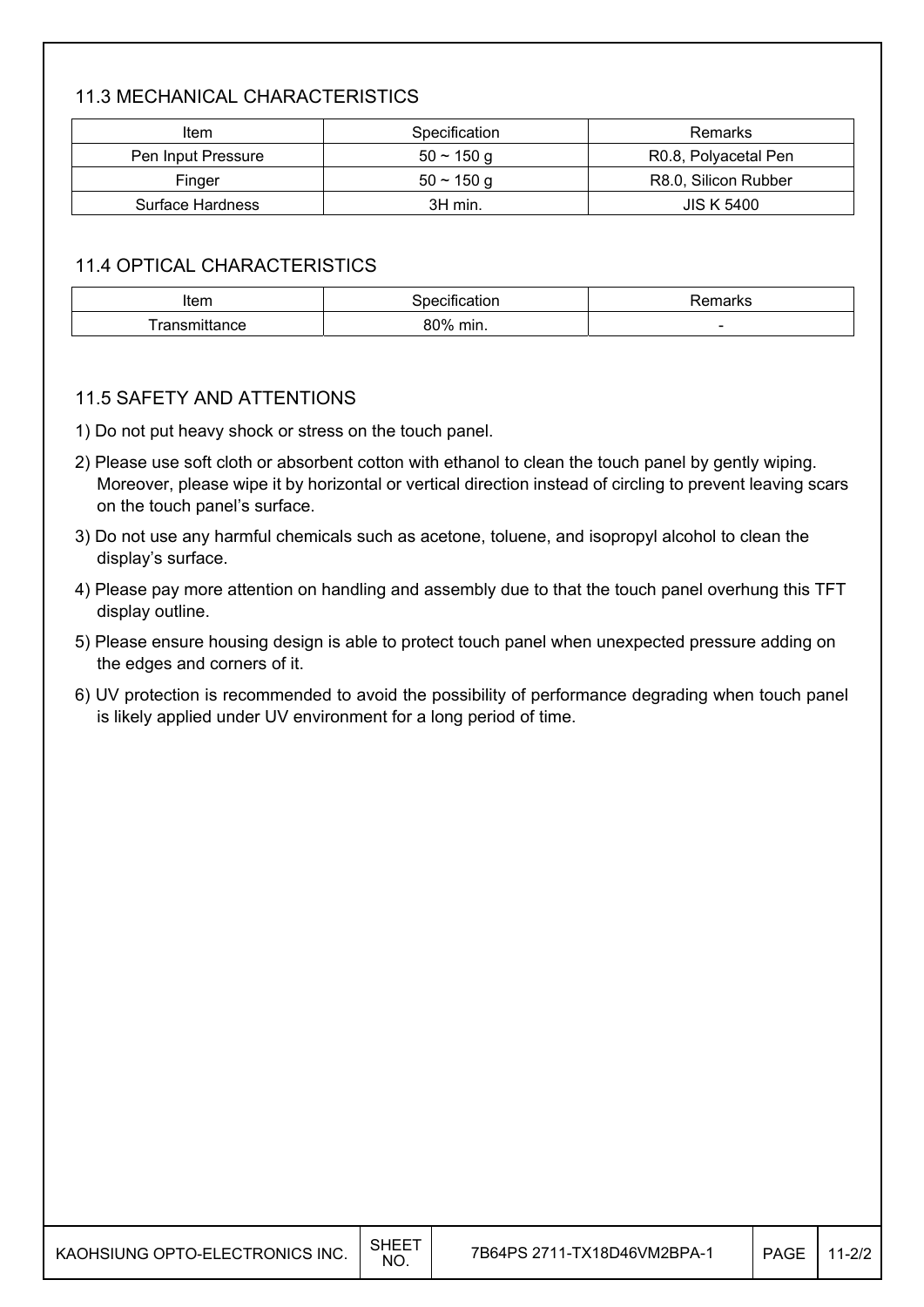### 11.3 MECHANICAL CHARACTERISTICS

| Item               | Specification | Remarks              |
|--------------------|---------------|----------------------|
| Pen Input Pressure | $50 - 150$ q  | R0.8, Polyacetal Pen |
| Finger             | $50 - 150$ q  | R8.0, Silicon Rubber |
| Surface Hardness   | 3H min.       | <b>JIS K 5400</b>    |

### 11.4 OPTICAL CHARACTERISTICS

| Item     | cauon | ⊀emarks                  |
|----------|-------|--------------------------|
| mittance | 80%   |                          |
| . .      | min.  | $\overline{\phantom{a}}$ |

#### 11.5 SAFETY AND ATTENTIONS

- 1) Do not put heavy shock or stress on the touch panel.
- 2) Please use soft cloth or absorbent cotton with ethanol to clean the touch panel by gently wiping. Moreover, please wipe it by horizontal or vertical direction instead of circling to prevent leaving scars on the touch panel's surface.
- 3) Do not use any harmful chemicals such as acetone, toluene, and isopropyl alcohol to clean the display's surface.
- 4) Please pay more attention on handling and assembly due to that the touch panel overhung this TFT display outline.
- 5) Please ensure housing design is able to protect touch panel when unexpected pressure adding on the edges and corners of it.
- 6) UV protection is recommended to avoid the possibility of performance degrading when touch panel is likely applied under UV environment for a long period of time.

| KAOHSIUNG OPTO-ELECTRONICS INC. | SHEET<br>NO. | 7B64PS 2711-TX18D46VM2BPA-1 | <b>PAGE</b> | $11 - 2/2$ |
|---------------------------------|--------------|-----------------------------|-------------|------------|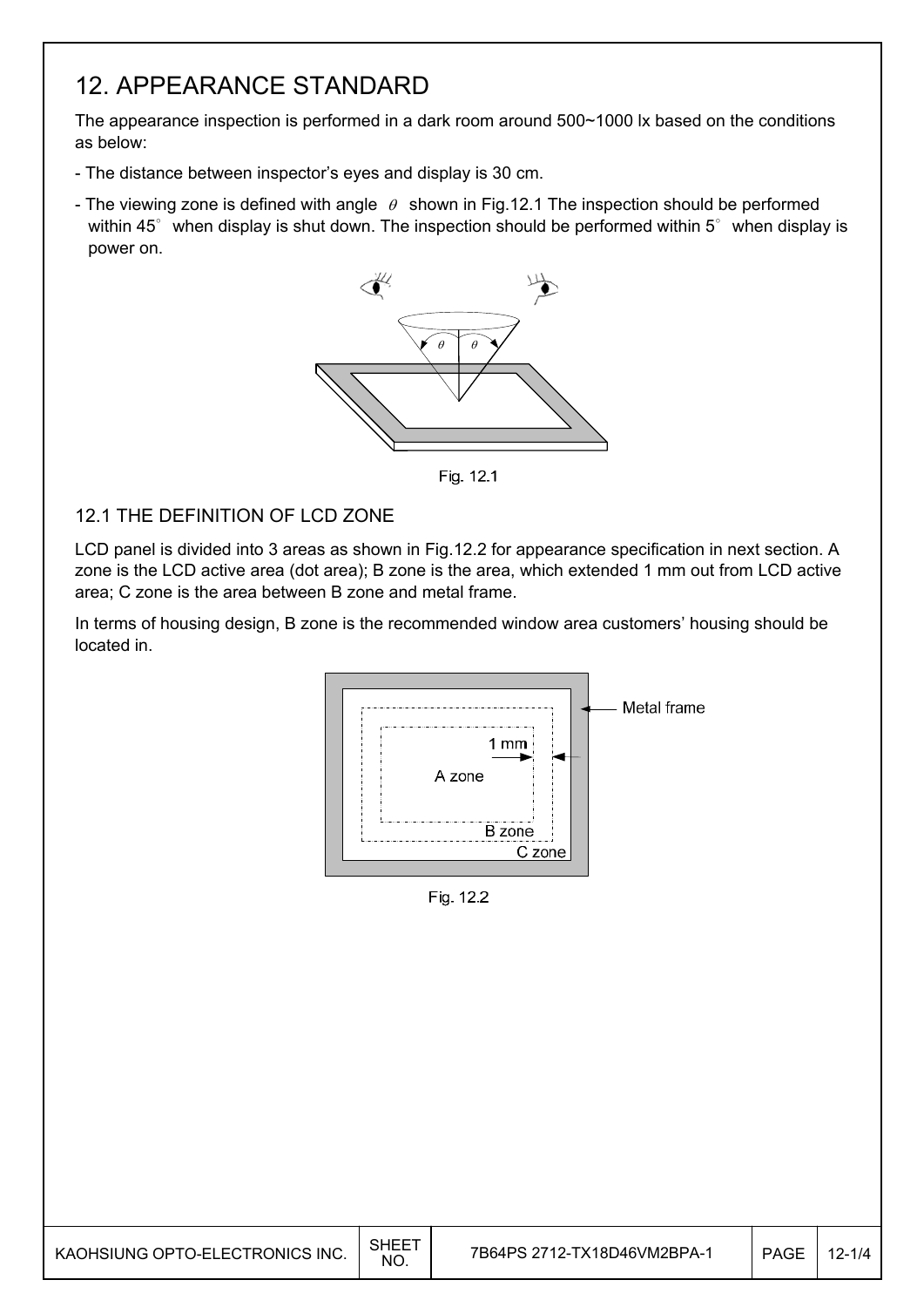## 12. APPEARANCE STANDARD

The appearance inspection is performed in a dark room around 500~1000 lx based on the conditions as below:

- The distance between inspector's eyes and display is 30 cm.
- The viewing zone is defined with angle  $\theta$  shown in Fig.12.1 The inspection should be performed within 45 $^{\circ}$  when display is shut down. The inspection should be performed within 5 $^{\circ}$  when display is power on.



Fig. 12.1

#### 12.1 THE DEFINITION OF LCD ZONE

LCD panel is divided into 3 areas as shown in Fig.12.2 for appearance specification in next section. A zone is the LCD active area (dot area); B zone is the area, which extended 1 mm out from LCD active area; C zone is the area between B zone and metal frame.

In terms of housing design, B zone is the recommended window area customers' housing should be located in.



Fig. 12.2

| KAOHSIUNG OPTO-ELECTRONICS INC. | <b>SHEET</b><br>NO. | 7B64PS 2712-TX18D46VM2BPA-1 | <b>PAGE</b> | $12 - 1/4$ |
|---------------------------------|---------------------|-----------------------------|-------------|------------|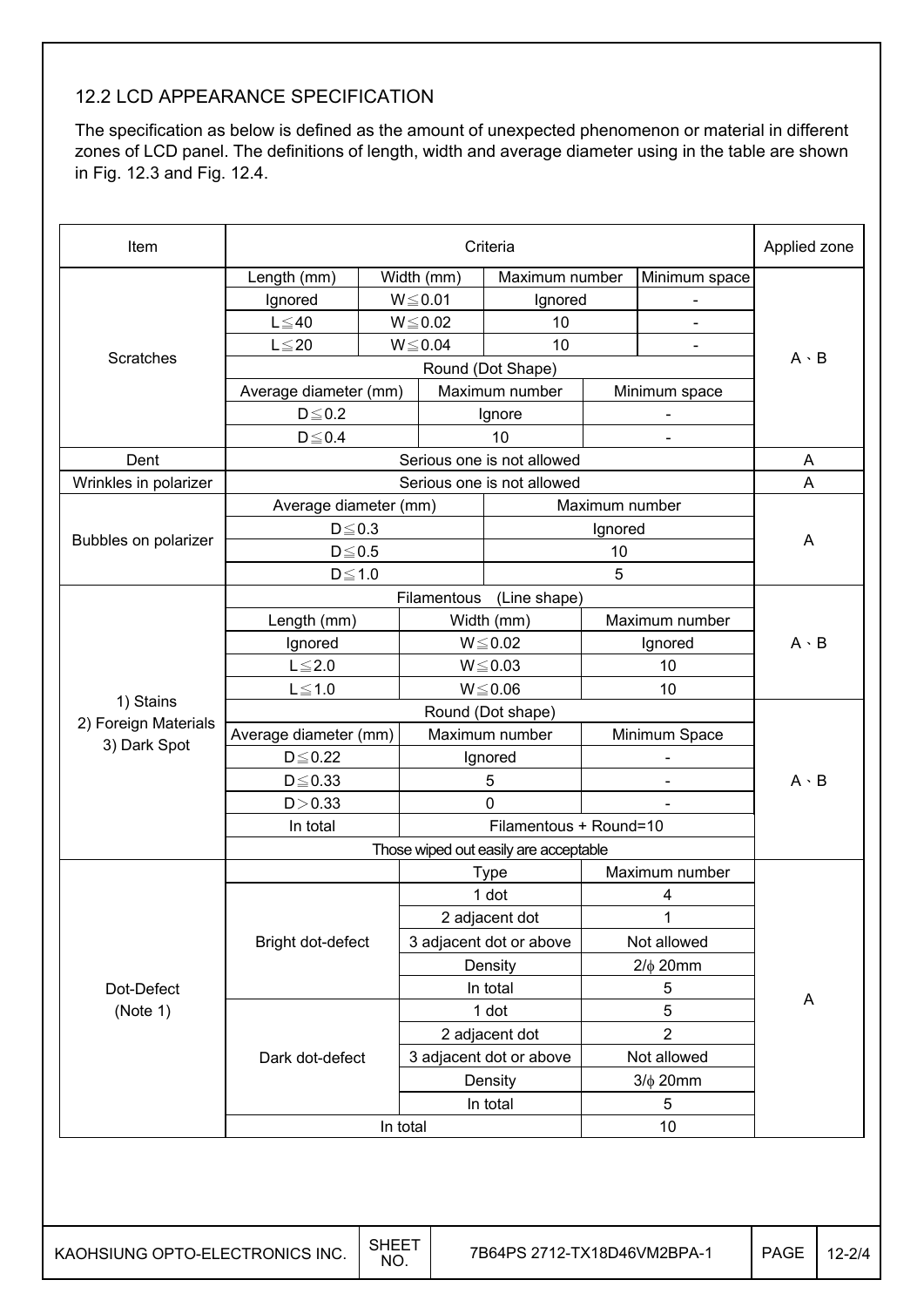### 12.2 LCD APPEARANCE SPECIFICATION

The specification as below is defined as the amount of unexpected phenomenon or material in different zones of LCD panel. The definitions of length, width and average diameter using in the table are shown in Fig. 12.3 and Fig. 12.4.

| Length (mm)<br>Ignored<br>$L \leq 40$<br>$L \leq 20$<br>Average diameter (mm)<br>$D \leq 0.2$<br>$D\!\leq\!0.4$<br>Average diameter (mm)<br>$D \le 0.3$<br>$D \leq 0.5$<br>$D \le 1.0$<br>Length (mm)<br>Ignored |                                                       | Width (mm)<br>$W \le 0.01$<br>$W \le 0.02$<br>$W \le 0.04$ | Maximum number<br>Ignored<br>10<br>10<br>Round (Dot Shape)<br>Maximum number<br>Ignore<br>10<br>Serious one is not allowed<br>Serious one is not allowed | Maximum number                                                                                                                                                                       | Minimum space<br>Minimum space<br>$\overline{\phantom{a}}$ | $A \cdot B$<br>A<br>A                                                                                                                          |             |
|------------------------------------------------------------------------------------------------------------------------------------------------------------------------------------------------------------------|-------------------------------------------------------|------------------------------------------------------------|----------------------------------------------------------------------------------------------------------------------------------------------------------|--------------------------------------------------------------------------------------------------------------------------------------------------------------------------------------|------------------------------------------------------------|------------------------------------------------------------------------------------------------------------------------------------------------|-------------|
|                                                                                                                                                                                                                  |                                                       |                                                            |                                                                                                                                                          |                                                                                                                                                                                      |                                                            |                                                                                                                                                |             |
|                                                                                                                                                                                                                  |                                                       |                                                            |                                                                                                                                                          |                                                                                                                                                                                      |                                                            |                                                                                                                                                |             |
|                                                                                                                                                                                                                  |                                                       |                                                            |                                                                                                                                                          |                                                                                                                                                                                      |                                                            |                                                                                                                                                |             |
|                                                                                                                                                                                                                  |                                                       |                                                            |                                                                                                                                                          |                                                                                                                                                                                      |                                                            |                                                                                                                                                |             |
|                                                                                                                                                                                                                  |                                                       |                                                            |                                                                                                                                                          |                                                                                                                                                                                      |                                                            |                                                                                                                                                |             |
|                                                                                                                                                                                                                  |                                                       |                                                            |                                                                                                                                                          |                                                                                                                                                                                      |                                                            |                                                                                                                                                |             |
|                                                                                                                                                                                                                  |                                                       |                                                            |                                                                                                                                                          |                                                                                                                                                                                      |                                                            |                                                                                                                                                |             |
|                                                                                                                                                                                                                  |                                                       |                                                            |                                                                                                                                                          |                                                                                                                                                                                      |                                                            |                                                                                                                                                |             |
|                                                                                                                                                                                                                  |                                                       |                                                            |                                                                                                                                                          |                                                                                                                                                                                      |                                                            |                                                                                                                                                |             |
|                                                                                                                                                                                                                  |                                                       |                                                            |                                                                                                                                                          |                                                                                                                                                                                      |                                                            |                                                                                                                                                |             |
|                                                                                                                                                                                                                  |                                                       |                                                            |                                                                                                                                                          |                                                                                                                                                                                      |                                                            |                                                                                                                                                |             |
|                                                                                                                                                                                                                  |                                                       |                                                            |                                                                                                                                                          | Ignored                                                                                                                                                                              |                                                            |                                                                                                                                                |             |
|                                                                                                                                                                                                                  |                                                       |                                                            |                                                                                                                                                          | 10                                                                                                                                                                                   |                                                            | A                                                                                                                                              |             |
|                                                                                                                                                                                                                  |                                                       |                                                            |                                                                                                                                                          | 5                                                                                                                                                                                    |                                                            |                                                                                                                                                |             |
|                                                                                                                                                                                                                  |                                                       | Filamentous                                                | (Line shape)                                                                                                                                             |                                                                                                                                                                                      |                                                            |                                                                                                                                                |             |
|                                                                                                                                                                                                                  |                                                       |                                                            | Width (mm)                                                                                                                                               |                                                                                                                                                                                      | Maximum number                                             |                                                                                                                                                |             |
|                                                                                                                                                                                                                  |                                                       | $W \le 0.02$                                               |                                                                                                                                                          |                                                                                                                                                                                      | Ignored                                                    | $A \cdot B$                                                                                                                                    |             |
| $L \leq 2.0$                                                                                                                                                                                                     |                                                       | $W \le 0.03$                                               |                                                                                                                                                          |                                                                                                                                                                                      | 10                                                         |                                                                                                                                                |             |
| $L \leq 1.0$                                                                                                                                                                                                     |                                                       | $W \le 0.06$                                               |                                                                                                                                                          |                                                                                                                                                                                      | 10                                                         |                                                                                                                                                |             |
| Round (Dot shape)                                                                                                                                                                                                |                                                       |                                                            |                                                                                                                                                          |                                                                                                                                                                                      |                                                            |                                                                                                                                                |             |
| Average diameter (mm)                                                                                                                                                                                            |                                                       |                                                            |                                                                                                                                                          |                                                                                                                                                                                      |                                                            |                                                                                                                                                |             |
|                                                                                                                                                                                                                  |                                                       |                                                            |                                                                                                                                                          |                                                                                                                                                                                      |                                                            |                                                                                                                                                |             |
|                                                                                                                                                                                                                  |                                                       |                                                            |                                                                                                                                                          |                                                                                                                                                                                      |                                                            |                                                                                                                                                |             |
|                                                                                                                                                                                                                  |                                                       |                                                            |                                                                                                                                                          |                                                                                                                                                                                      |                                                            |                                                                                                                                                |             |
|                                                                                                                                                                                                                  |                                                       |                                                            |                                                                                                                                                          |                                                                                                                                                                                      |                                                            |                                                                                                                                                |             |
|                                                                                                                                                                                                                  |                                                       |                                                            |                                                                                                                                                          |                                                                                                                                                                                      |                                                            |                                                                                                                                                |             |
|                                                                                                                                                                                                                  |                                                       |                                                            |                                                                                                                                                          |                                                                                                                                                                                      |                                                            |                                                                                                                                                |             |
|                                                                                                                                                                                                                  |                                                       |                                                            |                                                                                                                                                          |                                                                                                                                                                                      |                                                            |                                                                                                                                                |             |
|                                                                                                                                                                                                                  |                                                       |                                                            |                                                                                                                                                          |                                                                                                                                                                                      |                                                            |                                                                                                                                                |             |
|                                                                                                                                                                                                                  |                                                       |                                                            |                                                                                                                                                          |                                                                                                                                                                                      |                                                            |                                                                                                                                                |             |
|                                                                                                                                                                                                                  |                                                       | Density                                                    |                                                                                                                                                          |                                                                                                                                                                                      |                                                            |                                                                                                                                                |             |
|                                                                                                                                                                                                                  |                                                       |                                                            |                                                                                                                                                          |                                                                                                                                                                                      |                                                            |                                                                                                                                                |             |
|                                                                                                                                                                                                                  |                                                       |                                                            |                                                                                                                                                          |                                                                                                                                                                                      |                                                            | A                                                                                                                                              |             |
|                                                                                                                                                                                                                  |                                                       |                                                            |                                                                                                                                                          |                                                                                                                                                                                      |                                                            |                                                                                                                                                |             |
|                                                                                                                                                                                                                  |                                                       |                                                            |                                                                                                                                                          |                                                                                                                                                                                      |                                                            |                                                                                                                                                |             |
|                                                                                                                                                                                                                  |                                                       |                                                            |                                                                                                                                                          |                                                                                                                                                                                      |                                                            |                                                                                                                                                |             |
|                                                                                                                                                                                                                  |                                                       | Density                                                    |                                                                                                                                                          |                                                                                                                                                                                      |                                                            |                                                                                                                                                |             |
|                                                                                                                                                                                                                  |                                                       |                                                            | In total                                                                                                                                                 |                                                                                                                                                                                      | $3/\phi$ 20mm<br>5                                         |                                                                                                                                                |             |
|                                                                                                                                                                                                                  | $D \leq 0.22$<br>$D \le 0.33$<br>D > 0.33<br>In total | Bright dot-defect<br>Dark dot-defect                       |                                                                                                                                                          | Maximum number<br>Ignored<br>5<br>$\mathbf 0$<br><b>Type</b><br>1 dot<br>2 adjacent dot<br>3 adjacent dot or above<br>In total<br>1 dot<br>2 adjacent dot<br>3 adjacent dot or above | Those wiped out easily are acceptable                      | Minimum Space<br>Filamentous + Round=10<br>Maximum number<br>4<br>1<br>Not allowed<br>$2/\phi$ 20mm<br>5<br>5<br>$\overline{2}$<br>Not allowed | $A \cdot B$ |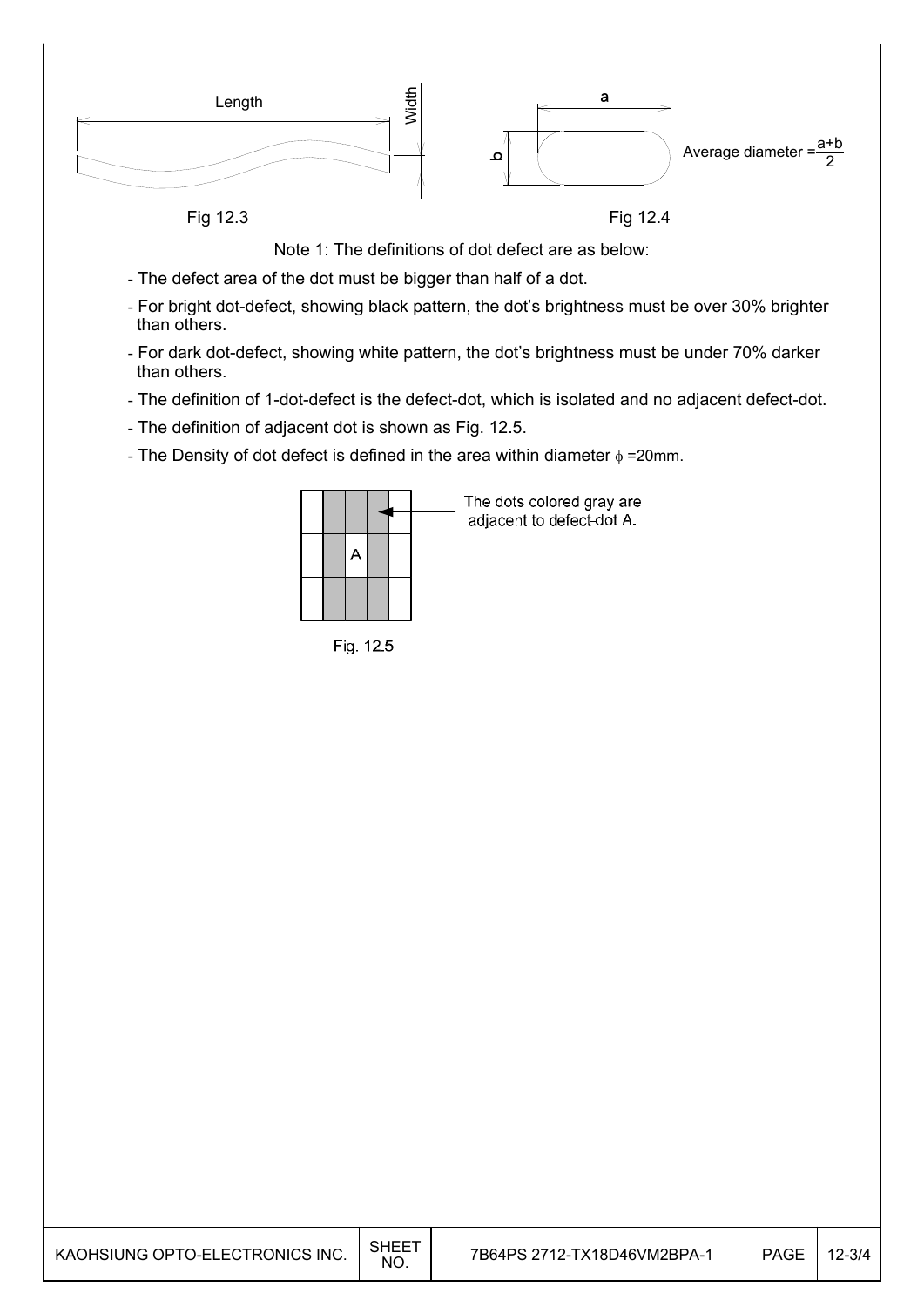

Note 1: The definitions of dot defect are as below:

- The defect area of the dot must be bigger than half of a dot.
- For bright dot-defect, showing black pattern, the dot's brightness must be over 30% brighter than others.
- For dark dot-defect, showing white pattern, the dot's brightness must be under 70% darker than others.
- The definition of 1-dot-defect is the defect-dot, which is isolated and no adjacent defect-dot.
- The definition of adjacent dot is shown as Fig. 12.5.
- The Density of dot defect is defined in the area within diameter  $\phi$  =20mm.

|  |  |  | The dots colored gray are<br>adjacent to defect-dot A. |
|--|--|--|--------------------------------------------------------|
|  |  |  |                                                        |
|  |  |  |                                                        |

Fig. 12.5

| KAOHSIUNG OPTO-ELECTRONICS INC. | SHEET<br><b>NO</b> | 7B64PS 2712-TX18D46VM2BPA-1 | <b>PAGE</b> | 12-3/4 |
|---------------------------------|--------------------|-----------------------------|-------------|--------|
|---------------------------------|--------------------|-----------------------------|-------------|--------|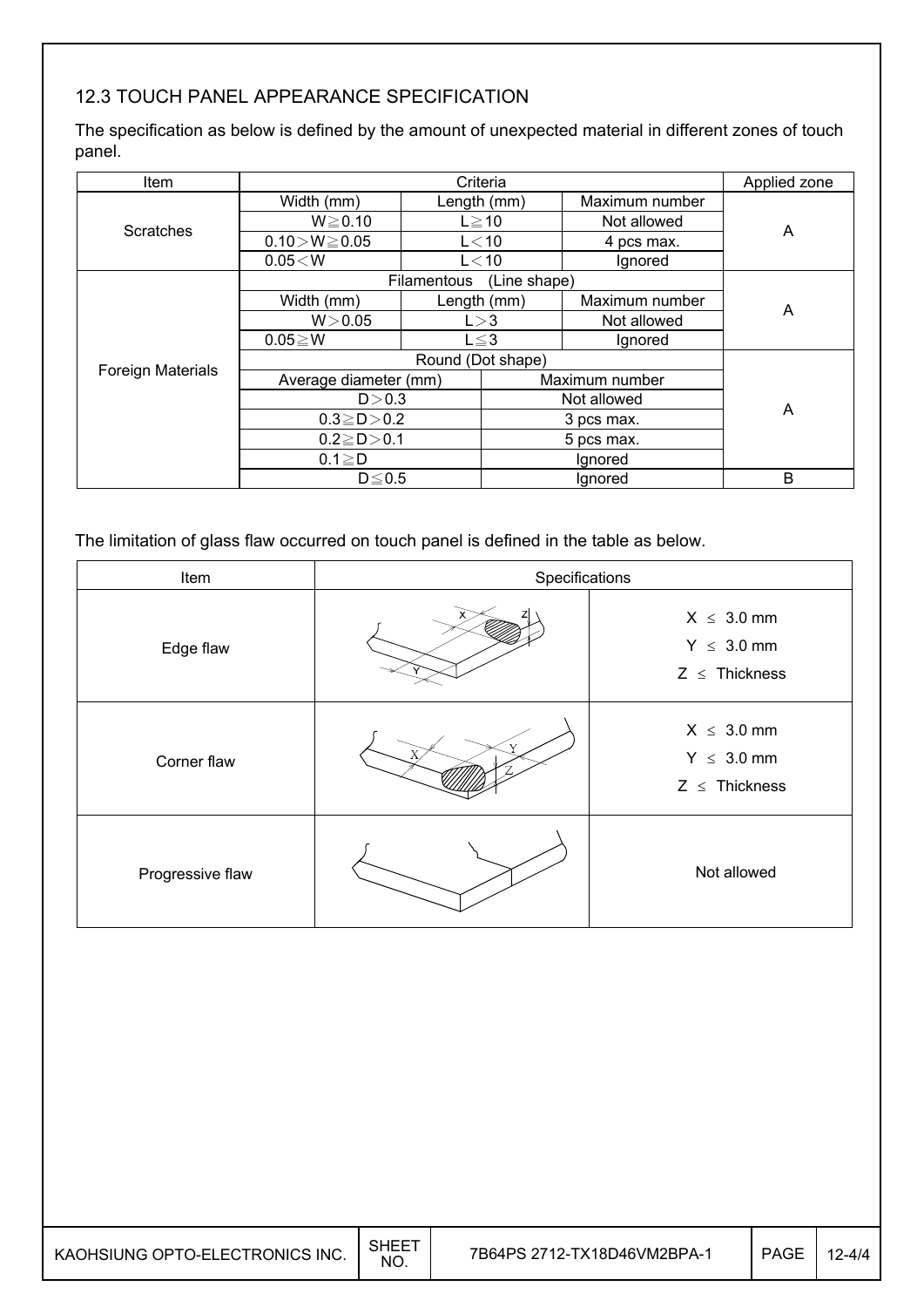## 12.3 TOUCH PANEL APPEARANCE SPECIFICATION

The specification as below is defined by the amount of unexpected material in different zones of touch panel.

| Item                     |                             |            | Criteria       |                | Applied zone |
|--------------------------|-----------------------------|------------|----------------|----------------|--------------|
|                          | Width (mm)                  |            | Length (mm)    | Maximum number |              |
| <b>Scratches</b>         | $W \ge 0.10$                |            | $L \ge 10$     | Not allowed    | A            |
|                          | $0.10 > W \ge 0.05$         |            | $L<$ 10        | 4 pcs max.     |              |
|                          | 0.05 < W                    |            | L < 10         | Ignored        |              |
|                          | Filamentous<br>(Line shape) |            |                |                |              |
|                          | Width (mm)                  |            | Length (mm)    | Maximum number | A            |
|                          | W > 0.05                    | L > 3      |                | Not allowed    |              |
|                          | $0.05 \ge W$                | $L \leq 3$ |                | Ignored        |              |
|                          |                             |            |                |                |              |
| <b>Foreign Materials</b> | Average diameter (mm)       |            | Maximum number |                |              |
|                          | D > 0.3                     |            | Not allowed    |                | A            |
|                          | $0.3 \ge D > 0.2$           |            | 3 pcs max.     |                |              |
|                          | $0.2 \ge D > 0.1$           |            | 5 pcs max.     |                |              |
|                          | $0.1 \geq D$                |            |                | Ignored        |              |
|                          | $D \leq 0.5$                |            |                | Ignored        | B            |

The limitation of glass flaw occurred on touch panel is defined in the table as below.

| Item             | Specifications |                                                          |
|------------------|----------------|----------------------------------------------------------|
| Edge flaw        |                | $X \leq 3.0$ mm<br>$Y \leq 3.0$ mm<br>$Z \leq$ Thickness |
| Corner flaw      |                | $X \leq 3.0$ mm<br>$Y \leq 3.0$ mm<br>$Z \leq$ Thickness |
| Progressive flaw |                | Not allowed                                              |

| KAOHSIUNG OPTO-ELECTRONICS INC. | <b>SHEET</b><br>NO. | 7B64PS 2712-TX18D46VM2BPA-1 | <b>PAGE</b> | 2-4/4 |
|---------------------------------|---------------------|-----------------------------|-------------|-------|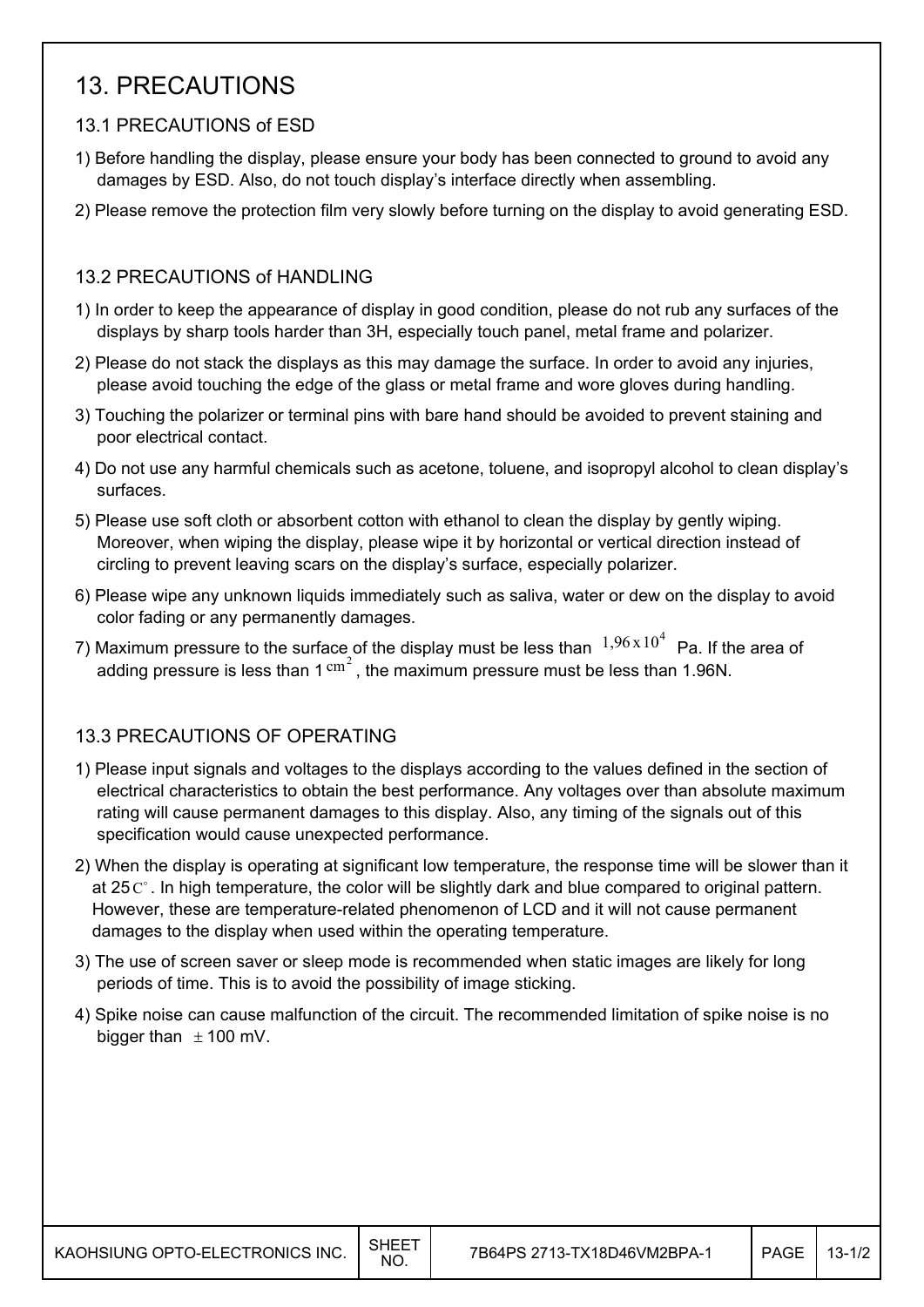## 13. PRECAUTIONS

## 13.1 PRECAUTIONS of ESD

- 1) Before handling the display, please ensure your body has been connected to ground to avoid any damages by ESD. Also, do not touch display's interface directly when assembling.
- 2) Please remove the protection film very slowly before turning on the display to avoid generating ESD.

### 13.2 PRECAUTIONS of HANDLING

- 1) In order to keep the appearance of display in good condition, please do not rub any surfaces of the displays by sharp tools harder than 3H, especially touch panel, metal frame and polarizer.
- 2) Please do not stack the displays as this may damage the surface. In order to avoid any injuries, please avoid touching the edge of the glass or metal frame and wore gloves during handling.
- 3) Touching the polarizer or terminal pins with bare hand should be avoided to prevent staining and poor electrical contact.
- 4) Do not use any harmful chemicals such as acetone, toluene, and isopropyl alcohol to clean display's surfaces.
- 5) Please use soft cloth or absorbent cotton with ethanol to clean the display by gently wiping. Moreover, when wiping the display, please wipe it by horizontal or vertical direction instead of circling to prevent leaving scars on the display's surface, especially polarizer.
- 6) Please wipe any unknown liquids immediately such as saliva, water or dew on the display to avoid color fading or any permanently damages.
- 7) Maximum pressure to the surface of the display must be less than  $1,96 \times 10^4$  Pa. If the area of adding pressure is less than  $1 \text{ cm}^2$ , the maximum pressure must be less than 1.96N.

## 13.3 PRECAUTIONS OF OPERATING

- 1) Please input signals and voltages to the displays according to the values defined in the section of electrical characteristics to obtain the best performance. Any voltages over than absolute maximum rating will cause permanent damages to this display. Also, any timing of the signals out of this specification would cause unexpected performance.
- 2) When the display is operating at significant low temperature, the response time will be slower than it at 25 $\degree$ . In high temperature, the color will be slightly dark and blue compared to original pattern. However, these are temperature-related phenomenon of LCD and it will not cause permanent damages to the display when used within the operating temperature.
- 3) The use of screen saver or sleep mode is recommended when static images are likely for long periods of time. This is to avoid the possibility of image sticking.
- 4) Spike noise can cause malfunction of the circuit. The recommended limitation of spike noise is no bigger than  $\pm$  100 mV.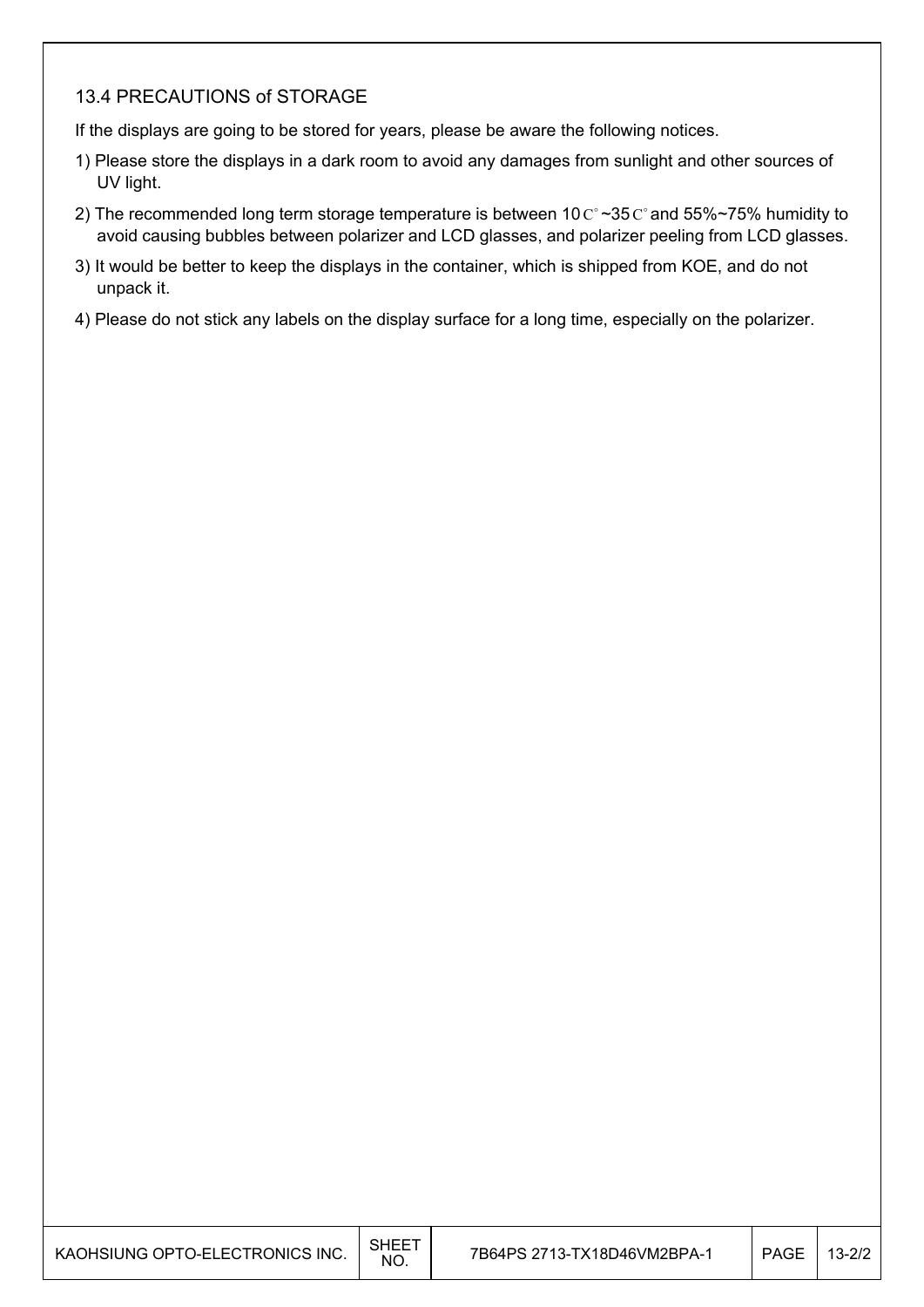### 13.4 PRECAUTIONS of STORAGE

If the displays are going to be stored for years, please be aware the following notices.

- 1) Please store the displays in a dark room to avoid any damages from sunlight and other sources of UV light.
- 2) The recommended long term storage temperature is between 10  $C \sim 35 C$  and 55%~75% humidity to avoid causing bubbles between polarizer and LCD glasses, and polarizer peeling from LCD glasses.
- 3) It would be better to keep the displays in the container, which is shipped from KOE, and do not unpack it.
- 4) Please do not stick any labels on the display surface for a long time, especially on the polarizer.

| KAOHSIUNG OPTO-ELECTRONICS INC. | <b>SHEET</b><br>NO. | 7B64PS 2713-TX18D46VM2BPA-1 | PAGE | $13 - 2/2$ |
|---------------------------------|---------------------|-----------------------------|------|------------|